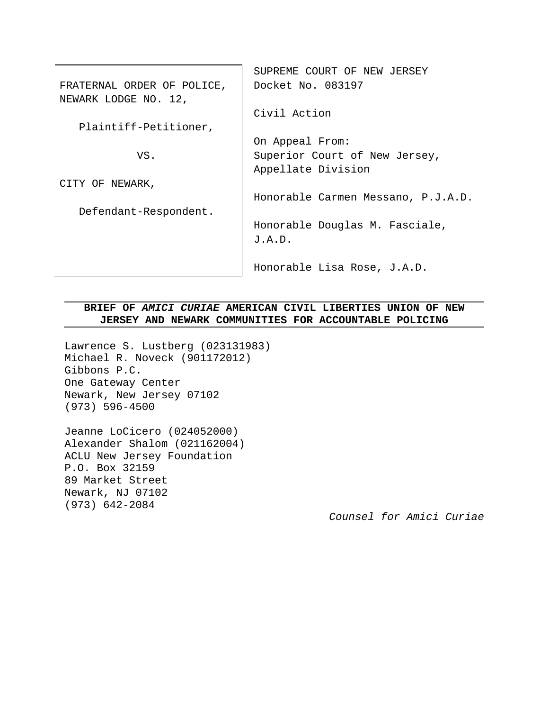|                            | SUPREME COURT OF NEW JERSEY        |  |
|----------------------------|------------------------------------|--|
| FRATERNAL ORDER OF POLICE, | Docket No. 083197                  |  |
| NEWARK LODGE NO. 12,       |                                    |  |
|                            | Civil Action                       |  |
| Plaintiff-Petitioner,      |                                    |  |
|                            | On Appeal From:                    |  |
| VS.                        | Superior Court of New Jersey,      |  |
|                            | Appellate Division                 |  |
| CITY OF NEWARK,            |                                    |  |
|                            | Honorable Carmen Messano, P.J.A.D. |  |
| Defendant-Respondent.      |                                    |  |
|                            | Honorable Douglas M. Fasciale,     |  |
|                            | J.A.D.                             |  |
|                            |                                    |  |
|                            | Honorable Lisa Rose, J.A.D.        |  |

# **BRIEF OF** *AMICI CURIAE* **AMERICAN CIVIL LIBERTIES UNION OF NEW JERSEY AND NEWARK COMMUNITIES FOR ACCOUNTABLE POLICING**

Lawrence S. Lustberg (023131983) Michael R. Noveck (901172012) Gibbons P.C. One Gateway Center Newark, New Jersey 07102 (973) 596-4500

Jeanne LoCicero (024052000) Alexander Shalom (021162004) ACLU New Jersey Foundation P.O. Box 32159 89 Market Street Newark, NJ 07102 (973) 642-2084

*Counsel for Amici Curiae*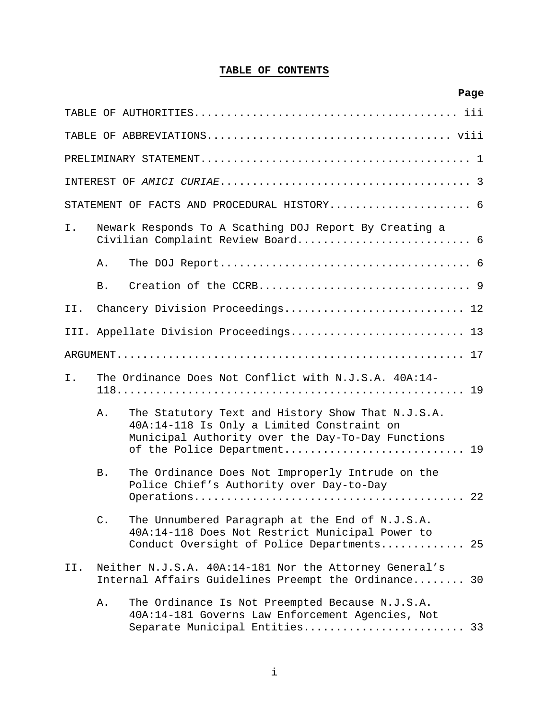# **TABLE OF CONTENTS**

|     |                |                                                                                                                                                                                     | Page |
|-----|----------------|-------------------------------------------------------------------------------------------------------------------------------------------------------------------------------------|------|
|     |                |                                                                                                                                                                                     |      |
|     |                |                                                                                                                                                                                     |      |
|     |                |                                                                                                                                                                                     |      |
|     |                |                                                                                                                                                                                     |      |
|     |                | STATEMENT OF FACTS AND PROCEDURAL HISTORY 6                                                                                                                                         |      |
| Ι.  |                | Newark Responds To A Scathing DOJ Report By Creating a                                                                                                                              |      |
|     | Α.             |                                                                                                                                                                                     |      |
|     | B.             |                                                                                                                                                                                     |      |
| II. |                | Chancery Division Proceedings 12                                                                                                                                                    |      |
|     |                | III. Appellate Division Proceedings 13                                                                                                                                              |      |
|     |                |                                                                                                                                                                                     |      |
| I.  |                | The Ordinance Does Not Conflict with N.J.S.A. 40A:14-                                                                                                                               |      |
|     | Α.             | The Statutory Text and History Show That N.J.S.A.<br>40A:14-118 Is Only a Limited Constraint on<br>Municipal Authority over the Day-To-Day Functions<br>of the Police Department 19 |      |
|     | B.             | The Ordinance Does Not Improperly Intrude on the<br>Police Chief's Authority over Day-to-Day                                                                                        |      |
|     |                |                                                                                                                                                                                     |      |
|     | $\mathsf{C}$ . | The Unnumbered Paragraph at the End of N.J.S.A.<br>40A:14-118 Does Not Restrict Municipal Power to<br>Conduct Oversight of Police Departments 25                                    |      |
| II. |                | Neither N.J.S.A. 40A:14-181 Nor the Attorney General's<br>Internal Affairs Guidelines Preempt the Ordinance 30                                                                      |      |
|     | Α.             | The Ordinance Is Not Preempted Because N.J.S.A.<br>40A:14-181 Governs Law Enforcement Agencies, Not<br>Separate Municipal Entities 33                                               |      |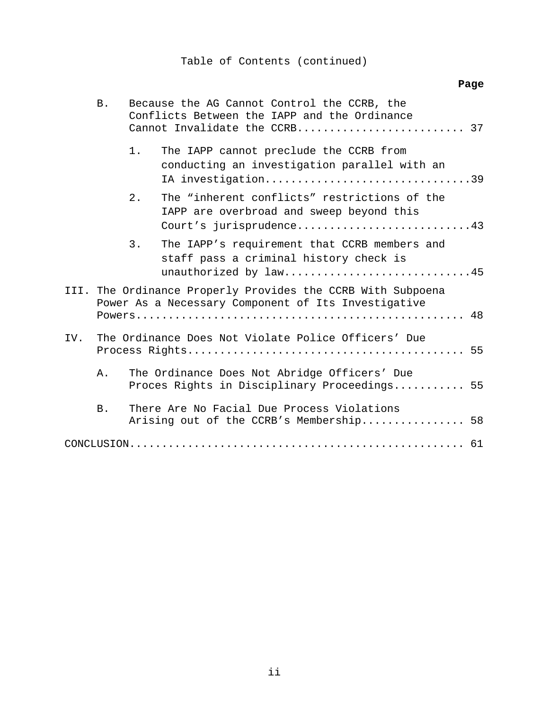# Table of Contents (continued)

# **Page**

|                                                            | Β.        | Because the AG Cannot Control the CCRB, the<br>Conflicts Between the IAPP and the Ordinance<br>Cannot Invalidate the CCRB 37 |  |
|------------------------------------------------------------|-----------|------------------------------------------------------------------------------------------------------------------------------|--|
|                                                            |           | $1$ .<br>The IAPP cannot preclude the CCRB from<br>conducting an investigation parallel with an<br>IA investigation39        |  |
|                                                            |           | The "inherent conflicts" restrictions of the<br>2.1<br>IAPP are overbroad and sweep beyond this<br>Court's jurisprudence43   |  |
|                                                            |           | 3.<br>The IAPP's requirement that CCRB members and<br>staff pass a criminal history check is<br>unauthorized by law45        |  |
|                                                            |           | III. The Ordinance Properly Provides the CCRB With Subpoena<br>Power As a Necessary Component of Its Investigative           |  |
| The Ordinance Does Not Violate Police Officers' Due<br>IV. |           |                                                                                                                              |  |
|                                                            | Α.        | The Ordinance Does Not Abridge Officers' Due<br>Proces Rights in Disciplinary Proceedings 55                                 |  |
|                                                            | <b>B.</b> | There Are No Facial Due Process Violations<br>Arising out of the CCRB's Membership 58                                        |  |
|                                                            |           |                                                                                                                              |  |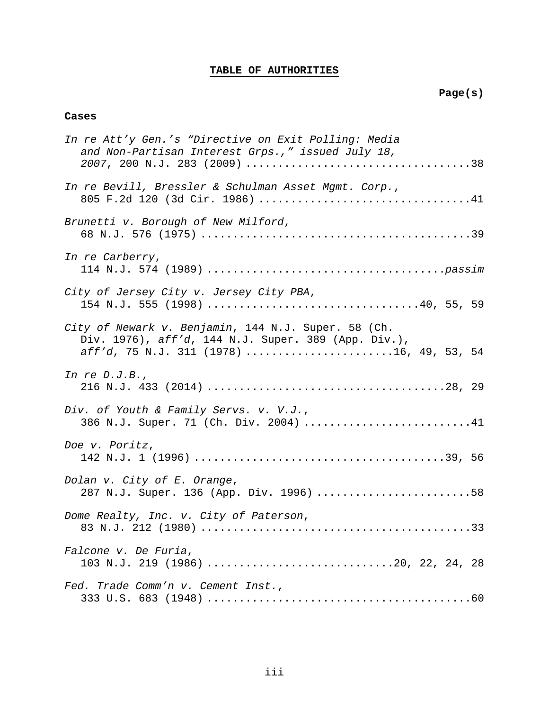# **TABLE OF AUTHORITIES**

### **Cases**

| In re Att'y Gen.'s "Directive on Exit Polling: Media<br>and Non-Partisan Interest Grps.," issued July 18,                                              |
|--------------------------------------------------------------------------------------------------------------------------------------------------------|
| In re Bevill, Bressler & Schulman Asset Mgmt. Corp.,                                                                                                   |
| Brunetti v. Borough of New Milford,                                                                                                                    |
| In re Carberry,                                                                                                                                        |
| City of Jersey City v. Jersey City PBA,<br>154 N.J. 555 (1998) 40, 55, 59                                                                              |
| City of Newark v. Benjamin, 144 N.J. Super. 58 (Ch.<br>Div. 1976), aff'd, 144 N.J. Super. 389 (App. Div.),<br>aff'd, 75 N.J. 311 (1978) 16, 49, 53, 54 |
| In re $D.J.B.,$                                                                                                                                        |
| Div. of Youth & Family Servs. v. V.J.,<br>386 N.J. Super. 71 (Ch. Div. 2004) 41                                                                        |
| Doe v. Poritz,                                                                                                                                         |
| Dolan v. City of E. Orange,<br>287 N.J. Super. 136 (App. Div. 1996) 58                                                                                 |
| Dome Realty, Inc. v. City of Paterson,                                                                                                                 |
| Falcone v. De Furia,<br>103 N.J. 219 (1986) 20, 22, 24, 28                                                                                             |
| Fed. Trade Comm'n v. Cement Inst.,                                                                                                                     |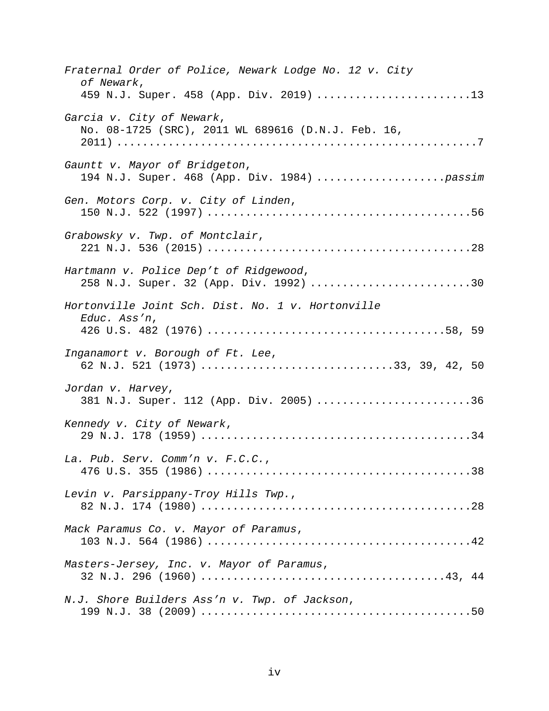| Fraternal Order of Police, Newark Lodge No. 12 v. City<br>of Newark,             |
|----------------------------------------------------------------------------------|
| 459 N.J. Super. 458 (App. Div. 2019) 13                                          |
| Garcia v. City of Newark,<br>No. 08-1725 (SRC), 2011 WL 689616 (D.N.J. Feb. 16,  |
| Gauntt v. Mayor of Bridgeton,                                                    |
| Gen. Motors Corp. v. City of Linden,                                             |
| Grabowsky v. Twp. of Montclair,                                                  |
| Hartmann v. Police Dep't of Ridgewood,<br>258 N.J. Super. 32 (App. Div. 1992) 30 |
| Hortonville Joint Sch. Dist. No. 1 v. Hortonville<br>Educ. Ass'n,                |
| Inganamort v. Borough of Ft. Lee,<br>62 N.J. 521 (1973) 33, 39, 42, 50           |
| Jordan v. Harvey,<br>381 N.J. Super. 112 (App. Div. 2005) 36                     |
| Kennedy v. City of Newark,                                                       |
| La. Pub. Serv. Comm'n v. F.C.C.,                                                 |
| Levin v. Parsippany-Troy Hills Twp.,                                             |
| Mack Paramus Co. v. Mayor of Paramus,                                            |
| Masters-Jersey, Inc. v. Mayor of Paramus,                                        |
| N.J. Shore Builders Ass'n v. Twp. of Jackson,                                    |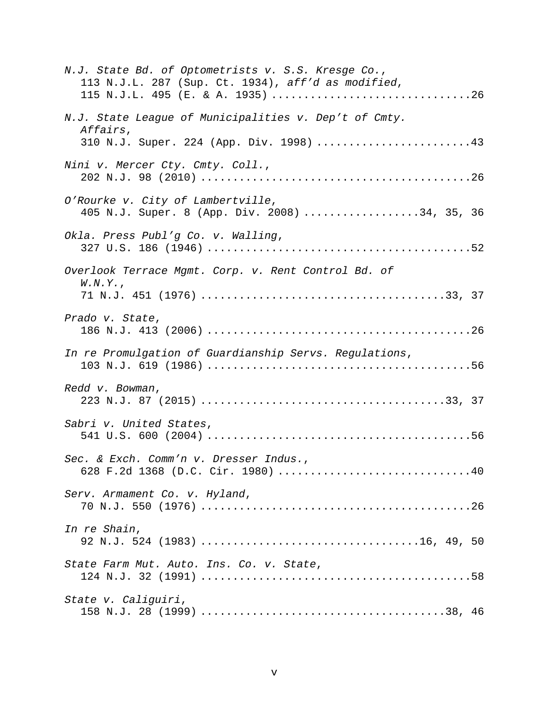| N.J. State Bd. of Optometrists v. S.S. Kresge Co.,<br>113 N.J.L. 287 (Sup. Ct. 1934), aff'd as modified,<br>115 N.J.L. 495 (E. & A. 1935) 26 |
|----------------------------------------------------------------------------------------------------------------------------------------------|
| N.J. State League of Municipalities v. Dep't of Cmty.<br>Affairs,                                                                            |
| 310 N.J. Super. 224 (App. Div. 1998) 43                                                                                                      |
| Nini v. Mercer Cty. Cmty. Coll.,                                                                                                             |
| O'Rourke v. City of Lambertville,<br>405 N.J. Super. 8 (App. Div. 2008) 34, 35, 36                                                           |
| Okla. Press Publ'g Co. v. Walling,                                                                                                           |
| Overlook Terrace Mgmt. Corp. v. Rent Control Bd. of                                                                                          |
| W.N.Y.                                                                                                                                       |
| Prado v. State,                                                                                                                              |
| In re Promulgation of Guardianship Servs. Regulations,                                                                                       |
| Redd v. Bowman,                                                                                                                              |
| Sabri v. United States,                                                                                                                      |
| Sec. & Exch. Comm'n v. Dresser Indus.,<br>628 F.2d 1368 (D.C. Cir. 1980) 40                                                                  |
| Serv. Armament Co. v. Hyland,                                                                                                                |
| In re Shain,                                                                                                                                 |
| State Farm Mut. Auto. Ins. Co. v. State,                                                                                                     |
| State v. Caliguiri,                                                                                                                          |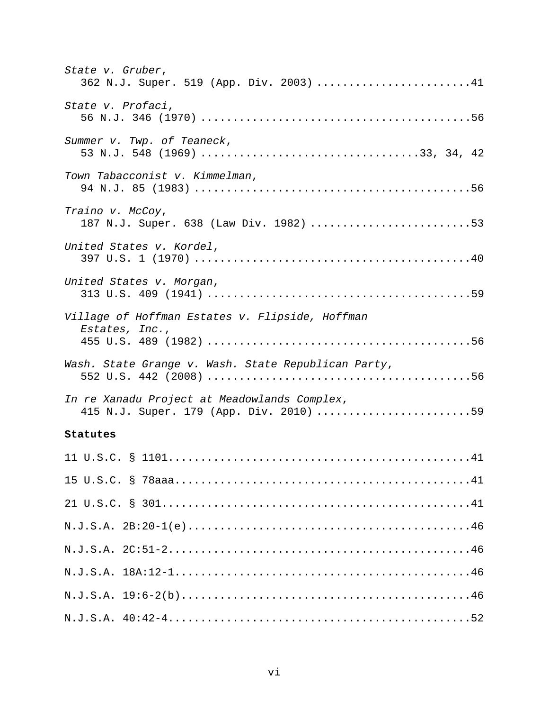| State v. Gruber,<br>362 N.J. Super. 519 (App. Div. 2003) 41                             |
|-----------------------------------------------------------------------------------------|
| State v. Profaci,                                                                       |
| Summer v. Twp. of Teaneck,                                                              |
| Town Tabacconist v. Kimmelman,                                                          |
| Traino v. McCoy,<br>187 N.J. Super. 638 (Law Div. 1982) 53                              |
| United States v. Kordel,                                                                |
| United States v. Morgan,                                                                |
| Village of Hoffman Estates v. Flipside, Hoffman<br>Estates, Inc.,                       |
| Wash. State Grange v. Wash. State Republican Party,                                     |
| In re Xanadu Project at Meadowlands Complex,<br>415 N.J. Super. 179 (App. Div. 2010) 59 |
| Statutes                                                                                |
|                                                                                         |
|                                                                                         |
|                                                                                         |
|                                                                                         |
|                                                                                         |
|                                                                                         |
|                                                                                         |
|                                                                                         |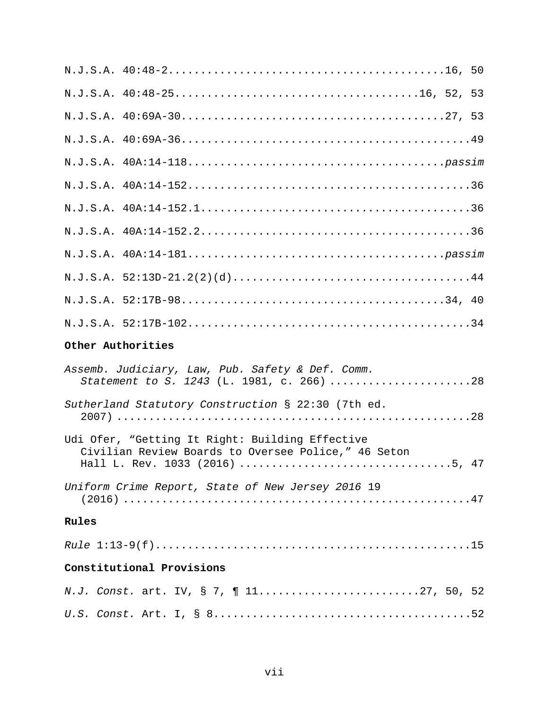| Other Authorities                                                                                      |  |
|--------------------------------------------------------------------------------------------------------|--|
| Assemb. Judiciary, Law, Pub. Safety & Def. Comm.<br>Statement to S. 1243 (L. 1981, c. 266) 28          |  |
| Sutherland Statutory Construction § 22:30 (7th ed.                                                     |  |
| Udi Ofer, "Getting It Right: Building Effective<br>Civilian Review Boards to Oversee Police," 46 Seton |  |
| Uniform Crime Report, State of New Jersey 2016 19                                                      |  |
| Rules                                                                                                  |  |
|                                                                                                        |  |
| Constitutional Provisions                                                                              |  |
| N.J. Const. art. IV, § 7, ¶ 1127, 50, 52                                                               |  |
|                                                                                                        |  |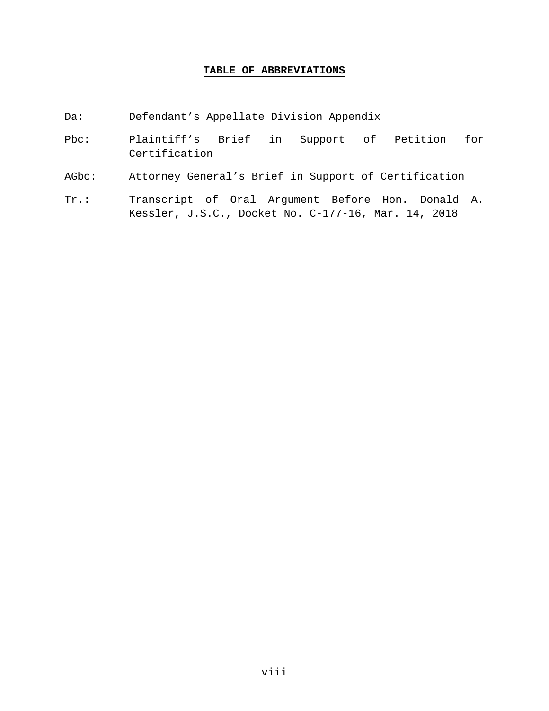### **TABLE OF ABBREVIATIONS**

- Da: Defendant's Appellate Division Appendix
- Pbc: Plaintiff's Brief in Support of Petition for Certification
- AGbc: Attorney General's Brief in Support of Certification
- Tr.: Transcript of Oral Argument Before Hon. Donald A. Kessler, J.S.C., Docket No. C-177-16, Mar. 14, 2018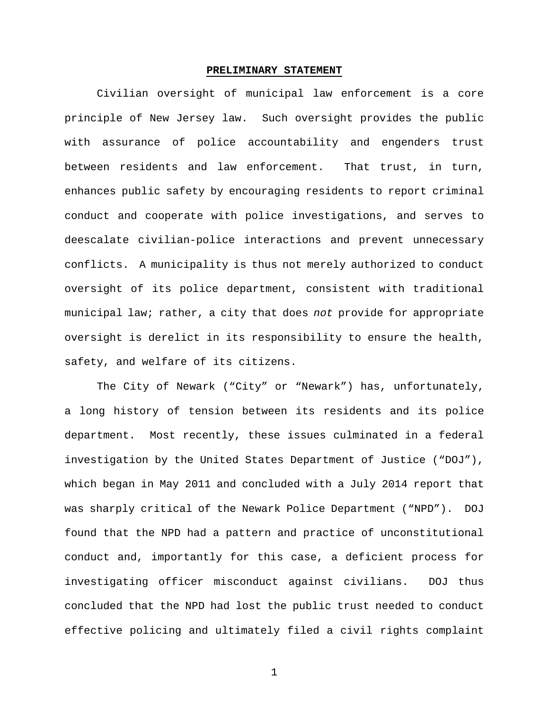#### **PRELIMINARY STATEMENT**

Civilian oversight of municipal law enforcement is a core principle of New Jersey law. Such oversight provides the public with assurance of police accountability and engenders trust between residents and law enforcement. That trust, in turn, enhances public safety by encouraging residents to report criminal conduct and cooperate with police investigations, and serves to deescalate civilian-police interactions and prevent unnecessary conflicts. A municipality is thus not merely authorized to conduct oversight of its police department, consistent with traditional municipal law; rather, a city that does *not* provide for appropriate oversight is derelict in its responsibility to ensure the health, safety, and welfare of its citizens.

The City of Newark ("City" or "Newark") has, unfortunately, a long history of tension between its residents and its police department. Most recently, these issues culminated in a federal investigation by the United States Department of Justice ("DOJ"), which began in May 2011 and concluded with a July 2014 report that was sharply critical of the Newark Police Department ("NPD"). DOJ found that the NPD had a pattern and practice of unconstitutional conduct and, importantly for this case, a deficient process for investigating officer misconduct against civilians. DOJ thus concluded that the NPD had lost the public trust needed to conduct effective policing and ultimately filed a civil rights complaint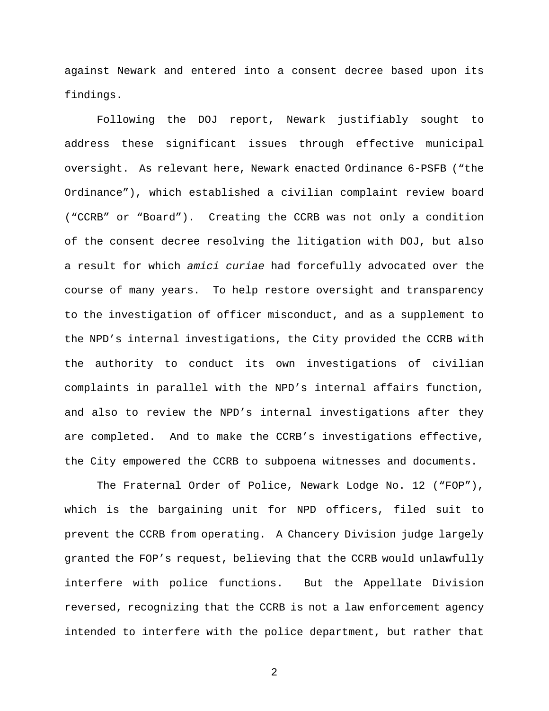against Newark and entered into a consent decree based upon its findings.

Following the DOJ report, Newark justifiably sought to address these significant issues through effective municipal oversight. As relevant here, Newark enacted Ordinance 6-PSFB ("the Ordinance"), which established a civilian complaint review board ("CCRB" or "Board"). Creating the CCRB was not only a condition of the consent decree resolving the litigation with DOJ, but also a result for which *amici curiae* had forcefully advocated over the course of many years. To help restore oversight and transparency to the investigation of officer misconduct, and as a supplement to the NPD's internal investigations, the City provided the CCRB with the authority to conduct its own investigations of civilian complaints in parallel with the NPD's internal affairs function, and also to review the NPD's internal investigations after they are completed. And to make the CCRB's investigations effective, the City empowered the CCRB to subpoena witnesses and documents.

The Fraternal Order of Police, Newark Lodge No. 12 ("FOP"), which is the bargaining unit for NPD officers, filed suit to prevent the CCRB from operating. A Chancery Division judge largely granted the FOP's request, believing that the CCRB would unlawfully interfere with police functions. But the Appellate Division reversed, recognizing that the CCRB is not a law enforcement agency intended to interfere with the police department, but rather that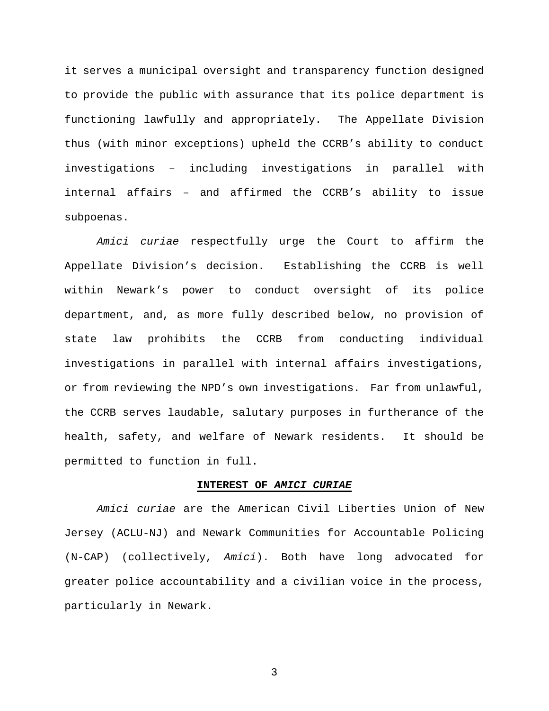it serves a municipal oversight and transparency function designed to provide the public with assurance that its police department is functioning lawfully and appropriately. The Appellate Division thus (with minor exceptions) upheld the CCRB's ability to conduct investigations – including investigations in parallel with internal affairs – and affirmed the CCRB's ability to issue subpoenas.

*Amici curiae* respectfully urge the Court to affirm the Appellate Division's decision. Establishing the CCRB is well within Newark's power to conduct oversight of its police department, and, as more fully described below, no provision of state law prohibits the CCRB from conducting individual investigations in parallel with internal affairs investigations, or from reviewing the NPD's own investigations. Far from unlawful, the CCRB serves laudable, salutary purposes in furtherance of the health, safety, and welfare of Newark residents. It should be permitted to function in full.

#### **INTEREST OF** *AMICI CURIAE*

*Amici curiae* are the American Civil Liberties Union of New Jersey (ACLU-NJ) and Newark Communities for Accountable Policing (N-CAP) (collectively, *Amici*). Both have long advocated for greater police accountability and a civilian voice in the process, particularly in Newark.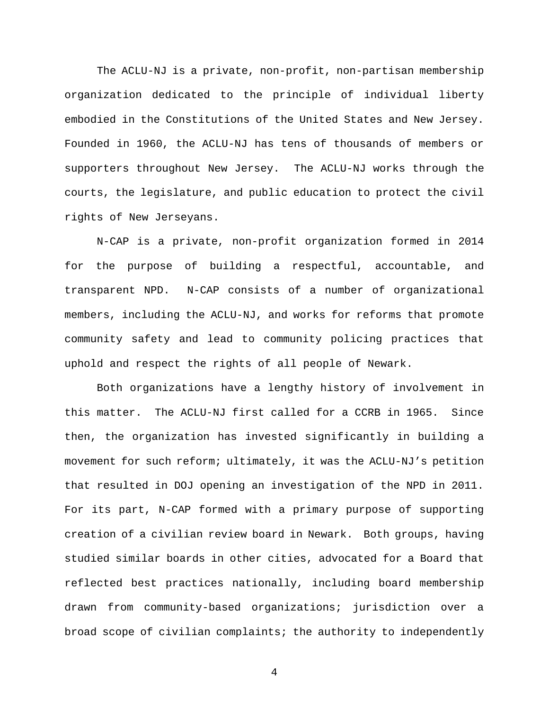The ACLU-NJ is a private, non-profit, non-partisan membership organization dedicated to the principle of individual liberty embodied in the Constitutions of the United States and New Jersey. Founded in 1960, the ACLU-NJ has tens of thousands of members or supporters throughout New Jersey. The ACLU-NJ works through the courts, the legislature, and public education to protect the civil rights of New Jerseyans.

N-CAP is a private, non-profit organization formed in 2014 for the purpose of building a respectful, accountable, and transparent NPD. N-CAP consists of a number of organizational members, including the ACLU-NJ, and works for reforms that promote community safety and lead to community policing practices that uphold and respect the rights of all people of Newark.

Both organizations have a lengthy history of involvement in this matter. The ACLU-NJ first called for a CCRB in 1965. Since then, the organization has invested significantly in building a movement for such reform; ultimately, it was the ACLU-NJ's petition that resulted in DOJ opening an investigation of the NPD in 2011. For its part, N-CAP formed with a primary purpose of supporting creation of a civilian review board in Newark. Both groups, having studied similar boards in other cities, advocated for a Board that reflected best practices nationally, including board membership drawn from community-based organizations; jurisdiction over a broad scope of civilian complaints; the authority to independently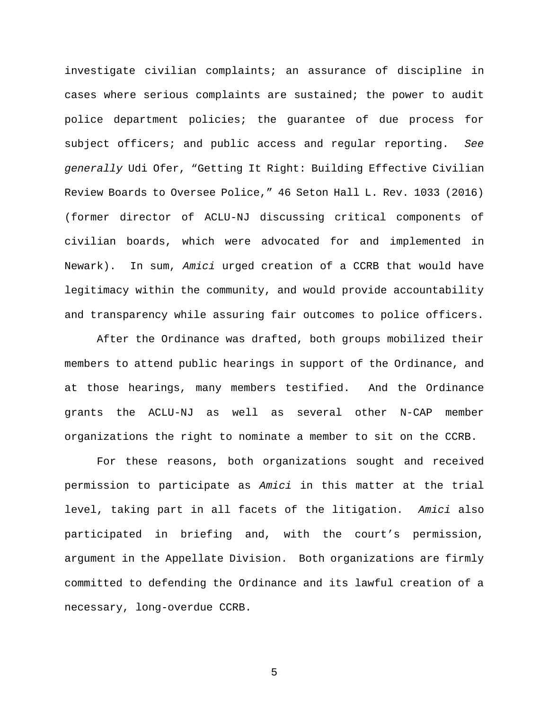investigate civilian complaints; an assurance of discipline in cases where serious complaints are sustained; the power to audit police department policies; the guarantee of due process for subject officers; and public access and regular reporting. *See generally* Udi Ofer, "Getting It Right: Building Effective Civilian Review Boards to Oversee Police," 46 Seton Hall L. Rev. 1033 (2016) (former director of ACLU-NJ discussing critical components of civilian boards, which were advocated for and implemented in Newark). In sum, *Amici* urged creation of a CCRB that would have legitimacy within the community, and would provide accountability and transparency while assuring fair outcomes to police officers.

After the Ordinance was drafted, both groups mobilized their members to attend public hearings in support of the Ordinance, and at those hearings, many members testified. And the Ordinance grants the ACLU-NJ as well as several other N-CAP member organizations the right to nominate a member to sit on the CCRB.

For these reasons, both organizations sought and received permission to participate as *Amici* in this matter at the trial level, taking part in all facets of the litigation. *Amici* also participated in briefing and, with the court's permission, argument in the Appellate Division. Both organizations are firmly committed to defending the Ordinance and its lawful creation of a necessary, long-overdue CCRB.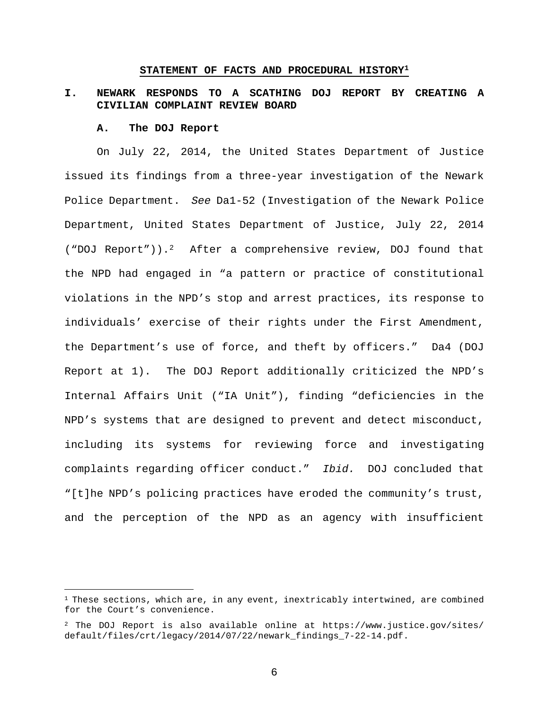#### **STATEMENT OF FACTS AND PROCEDURAL HISTORY<sup>1</sup>**

# **I. NEWARK RESPONDS TO A SCATHING DOJ REPORT BY CREATING A CIVILIAN COMPLAINT REVIEW BOARD**

#### **A. The DOJ Report**

On July 22, 2014, the United States Department of Justice issued its findings from a three-year investigation of the Newark Police Department. *See* Da1-52 (Investigation of the Newark Police Department, United States Department of Justice, July 22, 2014 ("DOJ Report")).<sup>2</sup> After a comprehensive review, DOJ found that the NPD had engaged in "a pattern or practice of constitutional violations in the NPD's stop and arrest practices, its response to individuals' exercise of their rights under the First Amendment, the Department's use of force, and theft by officers." Da4 (DOJ Report at 1). The DOJ Report additionally criticized the NPD's Internal Affairs Unit ("IA Unit"), finding "deficiencies in the NPD's systems that are designed to prevent and detect misconduct, including its systems for reviewing force and investigating complaints regarding officer conduct." *Ibid.* DOJ concluded that "[t]he NPD's policing practices have eroded the community's trust, and the perception of the NPD as an agency with insufficient

 $1$  These sections, which are, in any event, inextricably intertwined, are combined for the Court's convenience.

<sup>2</sup> The DOJ Report is also available online at https://www.justice.gov/sites/ default/files/crt/legacy/2014/07/22/newark\_findings\_7-22-14.pdf.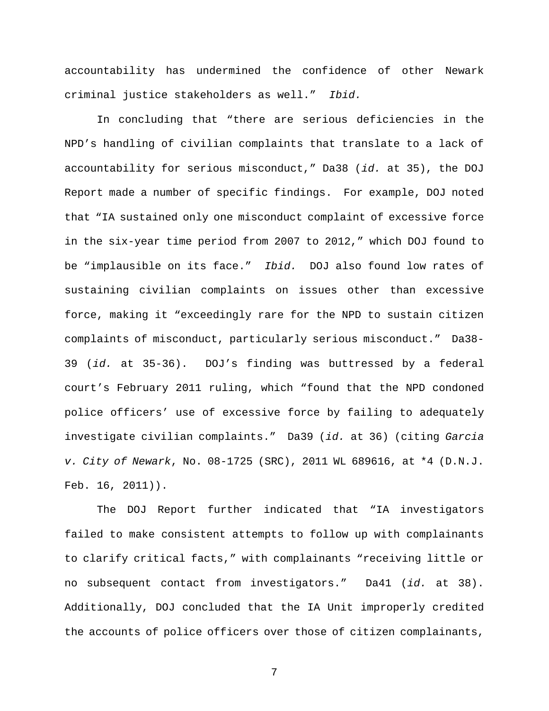accountability has undermined the confidence of other Newark criminal justice stakeholders as well." *Ibid.*

In concluding that "there are serious deficiencies in the NPD's handling of civilian complaints that translate to a lack of accountability for serious misconduct," Da38 (*id.* at 35), the DOJ Report made a number of specific findings. For example, DOJ noted that "IA sustained only one misconduct complaint of excessive force in the six-year time period from 2007 to 2012," which DOJ found to be "implausible on its face." *Ibid.* DOJ also found low rates of sustaining civilian complaints on issues other than excessive force, making it "exceedingly rare for the NPD to sustain citizen complaints of misconduct, particularly serious misconduct." Da38- 39 (*id.* at 35-36). DOJ's finding was buttressed by a federal court's February 2011 ruling, which "found that the NPD condoned police officers' use of excessive force by failing to adequately investigate civilian complaints." Da39 (*id.* at 36) (citing *Garcia v. City of Newark*, No. 08-1725 (SRC), 2011 WL 689616, at \*4 (D.N.J. Feb. 16, 2011)).

The DOJ Report further indicated that "IA investigators failed to make consistent attempts to follow up with complainants to clarify critical facts," with complainants "receiving little or no subsequent contact from investigators." Da41 (*id.* at 38). Additionally, DOJ concluded that the IA Unit improperly credited the accounts of police officers over those of citizen complainants,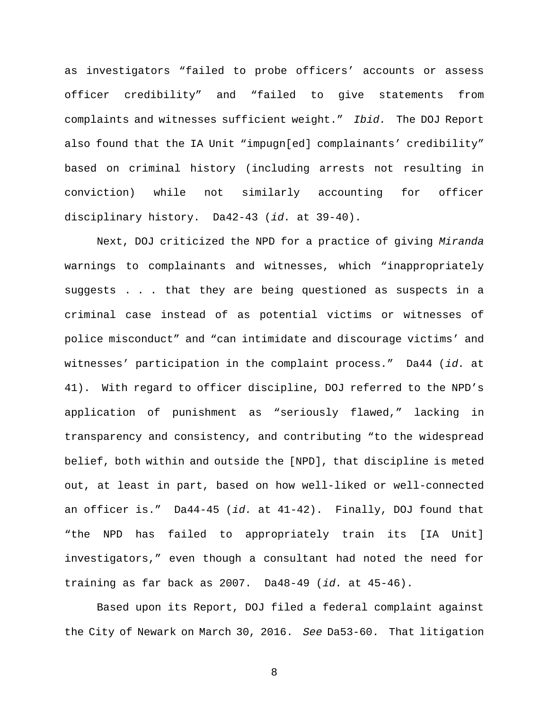as investigators "failed to probe officers' accounts or assess officer credibility" and "failed to give statements from complaints and witnesses sufficient weight." *Ibid.* The DOJ Report also found that the IA Unit "impugn[ed] complainants' credibility" based on criminal history (including arrests not resulting in conviction) while not similarly accounting for officer disciplinary history. Da42-43 (*id.* at 39-40).

Next, DOJ criticized the NPD for a practice of giving *Miranda* warnings to complainants and witnesses, which "inappropriately suggests . . . that they are being questioned as suspects in a criminal case instead of as potential victims or witnesses of police misconduct" and "can intimidate and discourage victims' and witnesses' participation in the complaint process." Da44 (*id.* at 41). With regard to officer discipline, DOJ referred to the NPD's application of punishment as "seriously flawed," lacking in transparency and consistency, and contributing "to the widespread belief, both within and outside the [NPD], that discipline is meted out, at least in part, based on how well-liked or well-connected an officer is." Da44-45 (*id.* at 41-42). Finally, DOJ found that "the NPD has failed to appropriately train its [IA Unit] investigators," even though a consultant had noted the need for training as far back as 2007. Da48-49 (*id.* at 45-46).

Based upon its Report, DOJ filed a federal complaint against the City of Newark on March 30, 2016. *See* Da53-60. That litigation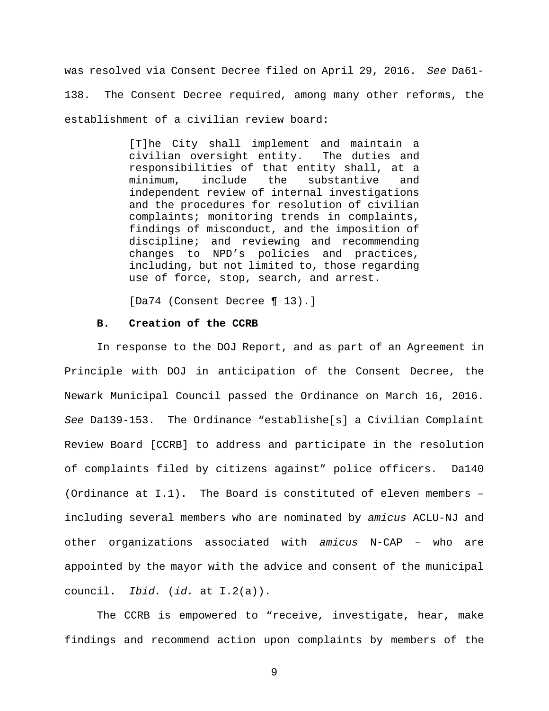was resolved via Consent Decree filed on April 29, 2016. *See* Da61- 138. The Consent Decree required, among many other reforms, the establishment of a civilian review board:

> [T]he City shall implement and maintain a civilian oversight entity. The duties and responsibilities of that entity shall, at a minimum, include the substantive and independent review of internal investigations and the procedures for resolution of civilian complaints; monitoring trends in complaints, findings of misconduct, and the imposition of discipline; and reviewing and recommending changes to NPD's policies and practices, including, but not limited to, those regarding use of force, stop, search, and arrest.

[Da74 (Consent Decree ¶ 13).]

### **B. Creation of the CCRB**

In response to the DOJ Report, and as part of an Agreement in Principle with DOJ in anticipation of the Consent Decree, the Newark Municipal Council passed the Ordinance on March 16, 2016. *See* Da139-153. The Ordinance "establishe[s] a Civilian Complaint Review Board [CCRB] to address and participate in the resolution of complaints filed by citizens against" police officers. Da140 (Ordinance at I.1). The Board is constituted of eleven members – including several members who are nominated by *amicus* ACLU-NJ and other organizations associated with *amicus* N-CAP – who are appointed by the mayor with the advice and consent of the municipal council. *Ibid.* (*id.* at I.2(a)).

The CCRB is empowered to "receive, investigate, hear, make findings and recommend action upon complaints by members of the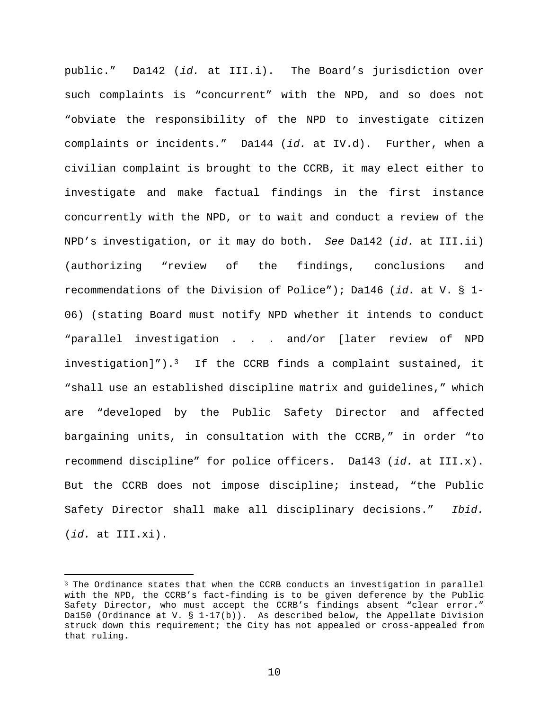public." Da142 (*id.* at III.i). The Board's jurisdiction over such complaints is "concurrent" with the NPD, and so does not "obviate the responsibility of the NPD to investigate citizen complaints or incidents." Da144 (*id.* at IV.d). Further, when a civilian complaint is brought to the CCRB, it may elect either to investigate and make factual findings in the first instance concurrently with the NPD, or to wait and conduct a review of the NPD's investigation, or it may do both. *See* Da142 (*id.* at III.ii) (authorizing "review of the findings, conclusions and recommendations of the Division of Police"); Da146 (*id.* at V. § 1- 06) (stating Board must notify NPD whether it intends to conduct "parallel investigation . . . and/or [later review of NPD investigation]").<sup>3</sup> If the CCRB finds a complaint sustained, it "shall use an established discipline matrix and guidelines," which are "developed by the Public Safety Director and affected bargaining units, in consultation with the CCRB," in order "to recommend discipline" for police officers. Da143 (*id.* at III.x). But the CCRB does not impose discipline; instead, "the Public Safety Director shall make all disciplinary decisions." *Ibid.* (*id.* at III.xi).

<sup>&</sup>lt;sup>3</sup> The Ordinance states that when the CCRB conducts an investigation in parallel with the NPD, the CCRB's fact-finding is to be given deference by the Public Safety Director, who must accept the CCRB's findings absent "clear error." Da150 (Ordinance at V. § 1-17(b)). As described below, the Appellate Division struck down this requirement; the City has not appealed or cross-appealed from that ruling.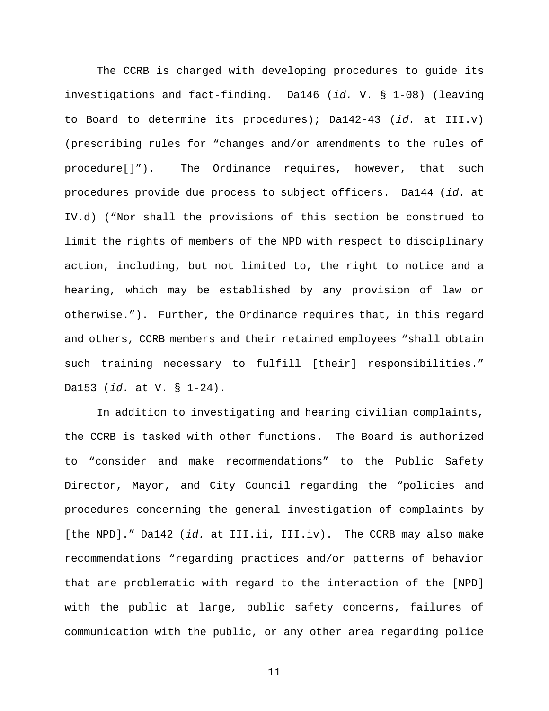The CCRB is charged with developing procedures to guide its investigations and fact-finding. Da146 (*id.* V. § 1-08) (leaving to Board to determine its procedures); Da142-43 (*id.* at III.v) (prescribing rules for "changes and/or amendments to the rules of procedure[]"). The Ordinance requires, however, that such procedures provide due process to subject officers. Da144 (*id.* at IV.d) ("Nor shall the provisions of this section be construed to limit the rights of members of the NPD with respect to disciplinary action, including, but not limited to, the right to notice and a hearing, which may be established by any provision of law or otherwise."). Further, the Ordinance requires that, in this regard and others, CCRB members and their retained employees "shall obtain such training necessary to fulfill [their] responsibilities." Da153 (*id.* at V. § 1-24).

In addition to investigating and hearing civilian complaints, the CCRB is tasked with other functions. The Board is authorized to "consider and make recommendations" to the Public Safety Director, Mayor, and City Council regarding the "policies and procedures concerning the general investigation of complaints by [the NPD]." Da142 (*id.* at III.ii, III.iv). The CCRB may also make recommendations "regarding practices and/or patterns of behavior that are problematic with regard to the interaction of the [NPD] with the public at large, public safety concerns, failures of communication with the public, or any other area regarding police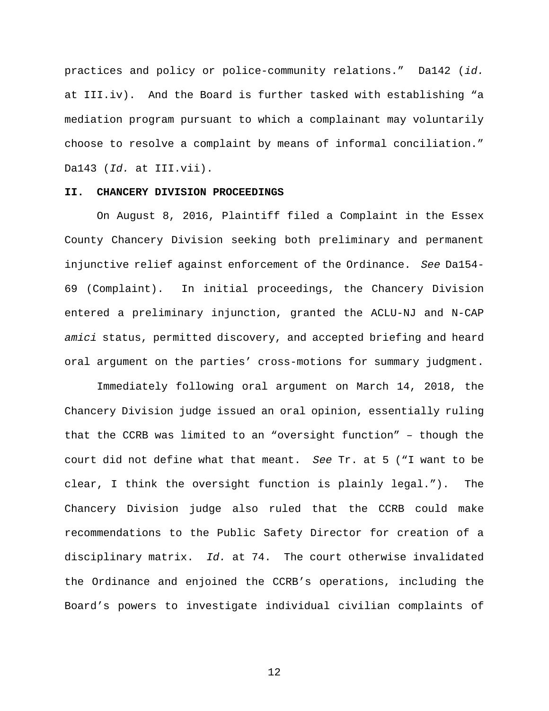practices and policy or police-community relations." Da142 (*id.* at III.iv). And the Board is further tasked with establishing "a mediation program pursuant to which a complainant may voluntarily choose to resolve a complaint by means of informal conciliation." Da143 (*Id.* at III.vii).

#### **II. CHANCERY DIVISION PROCEEDINGS**

On August 8, 2016, Plaintiff filed a Complaint in the Essex County Chancery Division seeking both preliminary and permanent injunctive relief against enforcement of the Ordinance. *See* Da154- 69 (Complaint). In initial proceedings, the Chancery Division entered a preliminary injunction, granted the ACLU-NJ and N-CAP *amici* status, permitted discovery, and accepted briefing and heard oral argument on the parties' cross-motions for summary judgment.

Immediately following oral argument on March 14, 2018, the Chancery Division judge issued an oral opinion, essentially ruling that the CCRB was limited to an "oversight function" – though the court did not define what that meant. *See* Tr. at 5 ("I want to be clear, I think the oversight function is plainly legal."). The Chancery Division judge also ruled that the CCRB could make recommendations to the Public Safety Director for creation of a disciplinary matrix. *Id.* at 74. The court otherwise invalidated the Ordinance and enjoined the CCRB's operations, including the Board's powers to investigate individual civilian complaints of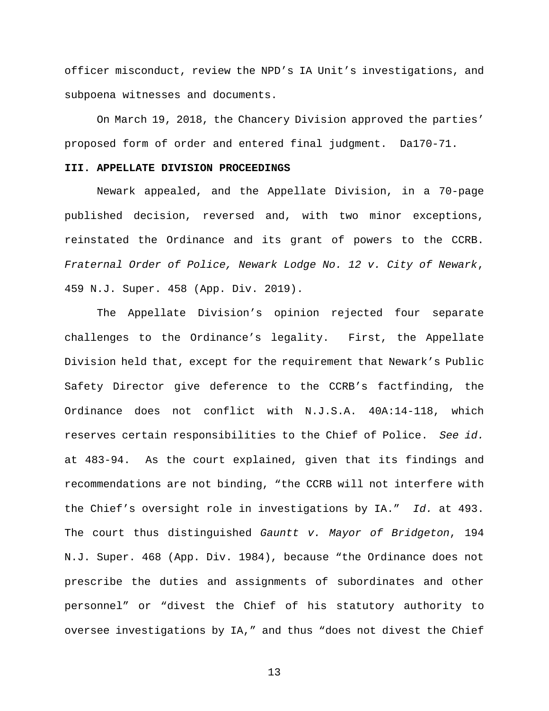officer misconduct, review the NPD's IA Unit's investigations, and subpoena witnesses and documents.

On March 19, 2018, the Chancery Division approved the parties' proposed form of order and entered final judgment. Da170-71.

### **III. APPELLATE DIVISION PROCEEDINGS**

Newark appealed, and the Appellate Division, in a 70-page published decision, reversed and, with two minor exceptions, reinstated the Ordinance and its grant of powers to the CCRB. *Fraternal Order of Police, Newark Lodge No. 12 v. City of Newark*, 459 N.J. Super. 458 (App. Div. 2019).

The Appellate Division's opinion rejected four separate challenges to the Ordinance's legality. First, the Appellate Division held that, except for the requirement that Newark's Public Safety Director give deference to the CCRB's factfinding, the Ordinance does not conflict with N.J.S.A. 40A:14-118, which reserves certain responsibilities to the Chief of Police. *See id.* at 483-94. As the court explained, given that its findings and recommendations are not binding, "the CCRB will not interfere with the Chief's oversight role in investigations by IA." *Id.* at 493. The court thus distinguished *Gauntt v. Mayor of Bridgeton*, 194 N.J. Super. 468 (App. Div. 1984), because "the Ordinance does not prescribe the duties and assignments of subordinates and other personnel" or "divest the Chief of his statutory authority to oversee investigations by IA," and thus "does not divest the Chief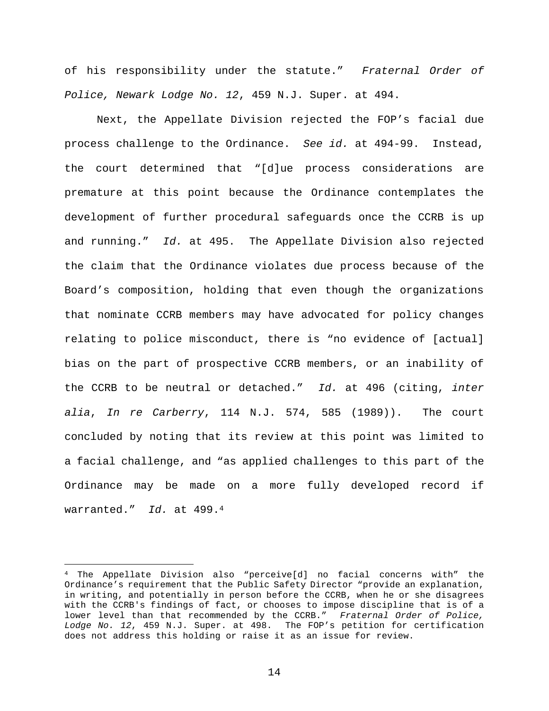of his responsibility under the statute." *Fraternal Order of Police, Newark Lodge No. 12*, 459 N.J. Super. at 494.

Next, the Appellate Division rejected the FOP's facial due process challenge to the Ordinance. *See id.* at 494-99. Instead, the court determined that "[d]ue process considerations are premature at this point because the Ordinance contemplates the development of further procedural safeguards once the CCRB is up and running." *Id.* at 495. The Appellate Division also rejected the claim that the Ordinance violates due process because of the Board's composition, holding that even though the organizations that nominate CCRB members may have advocated for policy changes relating to police misconduct, there is "no evidence of [actual] bias on the part of prospective CCRB members, or an inability of the CCRB to be neutral or detached." *Id.* at 496 (citing, *inter alia*, *In re Carberry*, 114 N.J. 574, 585 (1989)). The court concluded by noting that its review at this point was limited to a facial challenge, and "as applied challenges to this part of the Ordinance may be made on a more fully developed record if warranted." *Id.* at 499.<sup>4</sup>

<sup>4</sup> The Appellate Division also "perceive[d] no facial concerns with" the Ordinance's requirement that the Public Safety Director "provide an explanation, in writing, and potentially in person before the CCRB, when he or she disagrees with the CCRB's findings of fact, or chooses to impose discipline that is of a lower level than that recommended by the CCRB." *Fraternal Order of Police, Lodge No. 12*, 459 N.J. Super. at 498. The FOP's petition for certification does not address this holding or raise it as an issue for review.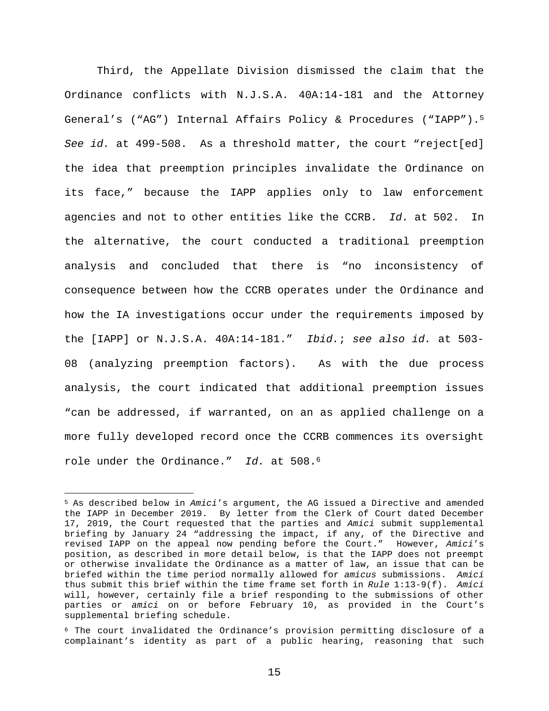Third, the Appellate Division dismissed the claim that the Ordinance conflicts with N.J.S.A. 40A:14-181 and the Attorney General's ("AG") Internal Affairs Policy & Procedures ("IAPP").<sup>5</sup> *See id.* at 499-508. As a threshold matter, the court "reject[ed] the idea that preemption principles invalidate the Ordinance on its face," because the IAPP applies only to law enforcement agencies and not to other entities like the CCRB. *Id.* at 502. In the alternative, the court conducted a traditional preemption analysis and concluded that there is "no inconsistency of consequence between how the CCRB operates under the Ordinance and how the IA investigations occur under the requirements imposed by the [IAPP] or N.J.S.A. 40A:14-181." *Ibid.*; *see also id.* at 503- 08 (analyzing preemption factors). As with the due process analysis, the court indicated that additional preemption issues "can be addressed, if warranted, on an as applied challenge on a more fully developed record once the CCRB commences its oversight role under the Ordinance." *Id.* at 508.<sup>6</sup>

<sup>5</sup> As described below in *Amici*'s argument, the AG issued a Directive and amended the IAPP in December 2019. By letter from the Clerk of Court dated December 17, 2019, the Court requested that the parties and *Amici* submit supplemental briefing by January 24 "addressing the impact, if any, of the Directive and revised IAPP on the appeal now pending before the Court." However, *Amici*'s position, as described in more detail below, is that the IAPP does not preempt or otherwise invalidate the Ordinance as a matter of law, an issue that can be briefed within the time period normally allowed for *amicus* submissions. *Amici* thus submit this brief within the time frame set forth in *Rule* 1:13-9(f). *Amici* will, however, certainly file a brief responding to the submissions of other parties or *amici* on or before February 10, as provided in the Court's supplemental briefing schedule.

<sup>6</sup> The court invalidated the Ordinance's provision permitting disclosure of a complainant's identity as part of a public hearing, reasoning that such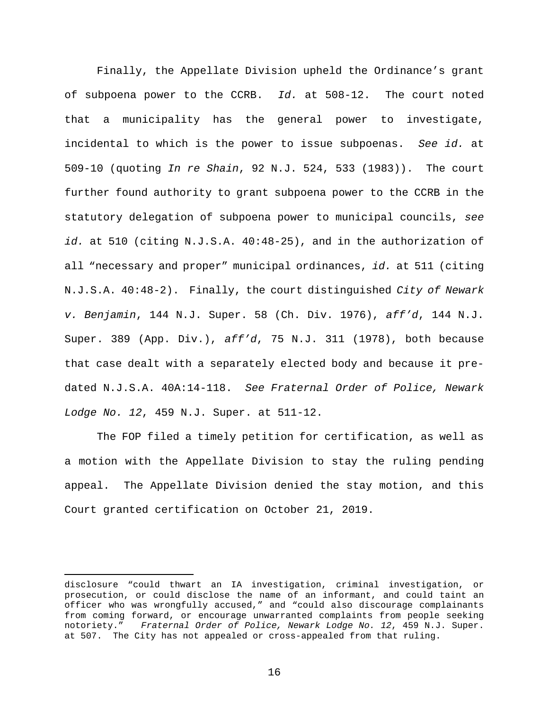Finally, the Appellate Division upheld the Ordinance's grant of subpoena power to the CCRB. *Id.* at 508-12. The court noted that a municipality has the general power to investigate, incidental to which is the power to issue subpoenas. *See id.* at 509-10 (quoting *In re Shain*, 92 N.J. 524, 533 (1983)). The court further found authority to grant subpoena power to the CCRB in the statutory delegation of subpoena power to municipal councils, *see id.* at 510 (citing N.J.S.A. 40:48-25), and in the authorization of all "necessary and proper" municipal ordinances, *id.* at 511 (citing N.J.S.A. 40:48-2). Finally, the court distinguished *City of Newark v. Benjamin*, 144 N.J. Super. 58 (Ch. Div. 1976), *aff'd*, 144 N.J. Super. 389 (App. Div.), *aff'd*, 75 N.J. 311 (1978), both because that case dealt with a separately elected body and because it predated N.J.S.A. 40A:14-118. *See Fraternal Order of Police, Newark Lodge No. 12*, 459 N.J. Super. at 511-12.

The FOP filed a timely petition for certification, as well as a motion with the Appellate Division to stay the ruling pending appeal. The Appellate Division denied the stay motion, and this Court granted certification on October 21, 2019.

disclosure "could thwart an IA investigation, criminal investigation, or prosecution, or could disclose the name of an informant, and could taint an officer who was wrongfully accused," and "could also discourage complainants from coming forward, or encourage unwarranted complaints from people seeking notoriety." *Fraternal Order of Police, Newark Lodge No. 12*, 459 N.J. Super. at 507. The City has not appealed or cross-appealed from that ruling.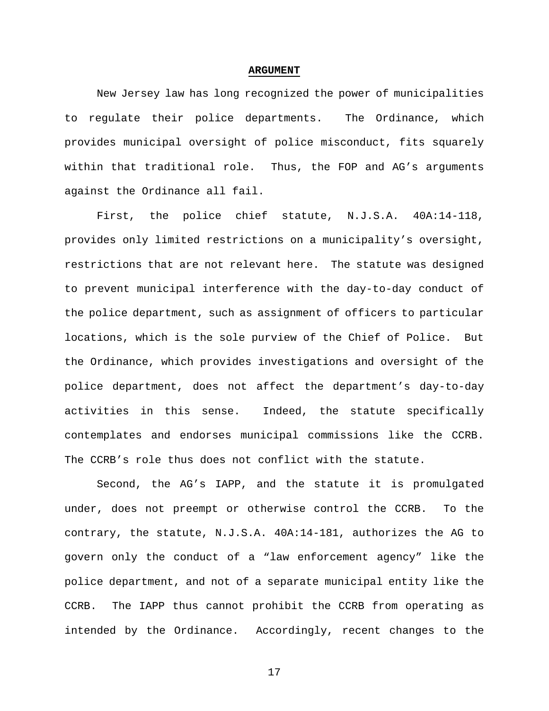#### **ARGUMENT**

New Jersey law has long recognized the power of municipalities to regulate their police departments. The Ordinance, which provides municipal oversight of police misconduct, fits squarely within that traditional role. Thus, the FOP and AG's arguments against the Ordinance all fail.

First, the police chief statute, N.J.S.A. 40A:14-118, provides only limited restrictions on a municipality's oversight, restrictions that are not relevant here. The statute was designed to prevent municipal interference with the day-to-day conduct of the police department, such as assignment of officers to particular locations, which is the sole purview of the Chief of Police. But the Ordinance, which provides investigations and oversight of the police department, does not affect the department's day-to-day activities in this sense. Indeed, the statute specifically contemplates and endorses municipal commissions like the CCRB. The CCRB's role thus does not conflict with the statute.

Second, the AG's IAPP, and the statute it is promulgated under, does not preempt or otherwise control the CCRB. To the contrary, the statute, N.J.S.A. 40A:14-181, authorizes the AG to govern only the conduct of a "law enforcement agency" like the police department, and not of a separate municipal entity like the CCRB. The IAPP thus cannot prohibit the CCRB from operating as intended by the Ordinance. Accordingly, recent changes to the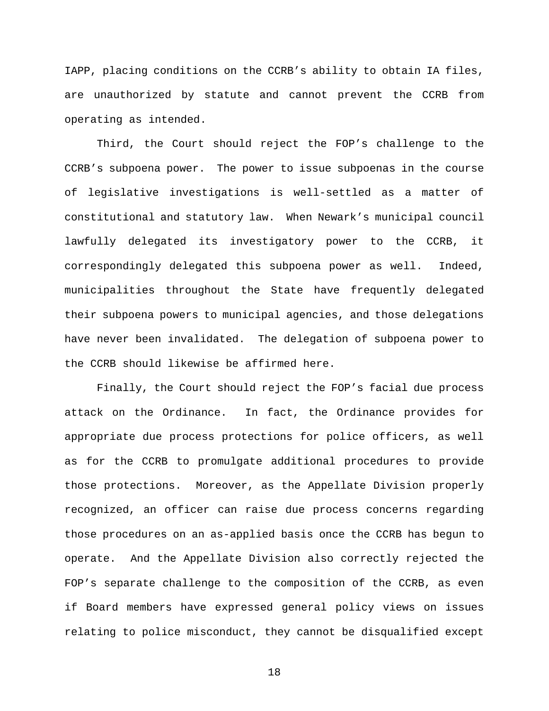IAPP, placing conditions on the CCRB's ability to obtain IA files, are unauthorized by statute and cannot prevent the CCRB from operating as intended.

Third, the Court should reject the FOP's challenge to the CCRB's subpoena power. The power to issue subpoenas in the course of legislative investigations is well-settled as a matter of constitutional and statutory law. When Newark's municipal council lawfully delegated its investigatory power to the CCRB, it correspondingly delegated this subpoena power as well. Indeed, municipalities throughout the State have frequently delegated their subpoena powers to municipal agencies, and those delegations have never been invalidated. The delegation of subpoena power to the CCRB should likewise be affirmed here.

Finally, the Court should reject the FOP's facial due process attack on the Ordinance. In fact, the Ordinance provides for appropriate due process protections for police officers, as well as for the CCRB to promulgate additional procedures to provide those protections. Moreover, as the Appellate Division properly recognized, an officer can raise due process concerns regarding those procedures on an as-applied basis once the CCRB has begun to operate. And the Appellate Division also correctly rejected the FOP's separate challenge to the composition of the CCRB, as even if Board members have expressed general policy views on issues relating to police misconduct, they cannot be disqualified except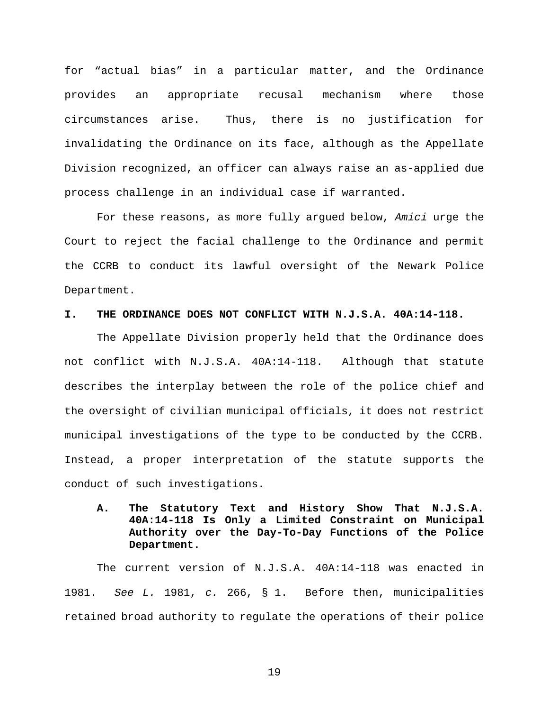for "actual bias" in a particular matter, and the Ordinance provides an appropriate recusal mechanism where those circumstances arise. Thus, there is no justification for invalidating the Ordinance on its face, although as the Appellate Division recognized, an officer can always raise an as-applied due process challenge in an individual case if warranted.

For these reasons, as more fully argued below, *Amici* urge the Court to reject the facial challenge to the Ordinance and permit the CCRB to conduct its lawful oversight of the Newark Police Department.

#### **I. THE ORDINANCE DOES NOT CONFLICT WITH N.J.S.A. 40A:14-118.**

The Appellate Division properly held that the Ordinance does not conflict with N.J.S.A. 40A:14-118. Although that statute describes the interplay between the role of the police chief and the oversight of civilian municipal officials, it does not restrict municipal investigations of the type to be conducted by the CCRB. Instead, a proper interpretation of the statute supports the conduct of such investigations.

# **A. The Statutory Text and History Show That N.J.S.A. 40A:14-118 Is Only a Limited Constraint on Municipal Authority over the Day-To-Day Functions of the Police Department.**

The current version of N.J.S.A. 40A:14-118 was enacted in 1981. *See L.* 1981, *c.* 266, § 1. Before then, municipalities retained broad authority to regulate the operations of their police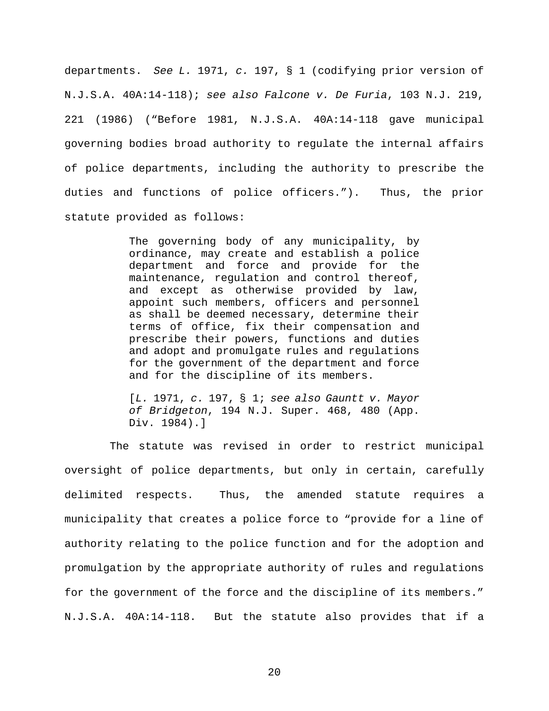departments. *See L.* 1971, *c.* 197, § 1 (codifying prior version of N.J.S.A. 40A:14-118); *see also Falcone v. De Furia*, 103 N.J. 219, 221 (1986) ("Before 1981, N.J.S.A. 40A:14-118 gave municipal governing bodies broad authority to regulate the internal affairs of police departments, including the authority to prescribe the duties and functions of police officers."). Thus, the prior statute provided as follows:

> The governing body of any municipality, by ordinance, may create and establish a police department and force and provide for the maintenance, regulation and control thereof, and except as otherwise provided by law, appoint such members, officers and personnel as shall be deemed necessary, determine their terms of office, fix their compensation and prescribe their powers, functions and duties and adopt and promulgate rules and regulations for the government of the department and force and for the discipline of its members.

> [*L.* 1971, *c.* 197, § 1; *see also Gauntt v. Mayor of Bridgeton*, 194 N.J. Super. 468, 480 (App. Div. 1984).]

 The statute was revised in order to restrict municipal oversight of police departments, but only in certain, carefully delimited respects. Thus, the amended statute requires a municipality that creates a police force to "provide for a line of authority relating to the police function and for the adoption and promulgation by the appropriate authority of rules and regulations for the government of the force and the discipline of its members." N.J.S.A. 40A:14-118. But the statute also provides that if a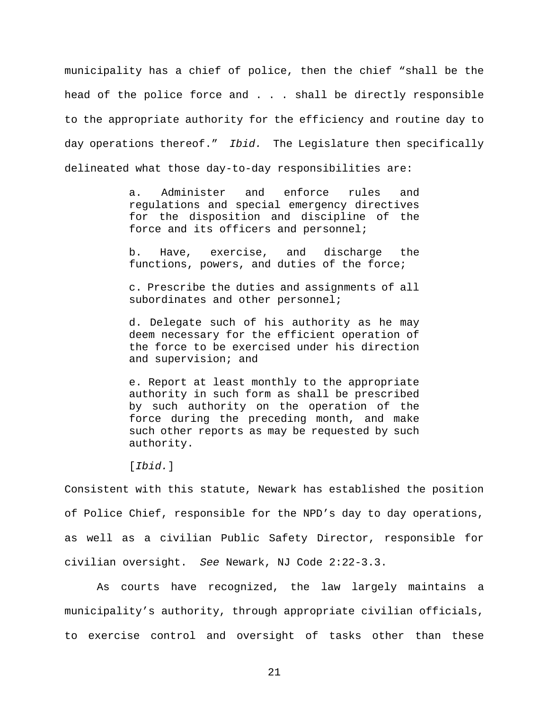municipality has a chief of police, then the chief "shall be the head of the police force and . . . shall be directly responsible to the appropriate authority for the efficiency and routine day to day operations thereof." *Ibid.* The Legislature then specifically delineated what those day-to-day responsibilities are:

> a. Administer and enforce rules and regulations and special emergency directives for the disposition and discipline of the force and its officers and personnel;

> b. Have, exercise, and discharge the functions, powers, and duties of the force;

> c. Prescribe the duties and assignments of all subordinates and other personnel;

> d. Delegate such of his authority as he may deem necessary for the efficient operation of the force to be exercised under his direction and supervision; and

> e. Report at least monthly to the appropriate authority in such form as shall be prescribed by such authority on the operation of the force during the preceding month, and make such other reports as may be requested by such authority.

[*Ibid.*]

Consistent with this statute, Newark has established the position of Police Chief, responsible for the NPD's day to day operations, as well as a civilian Public Safety Director, responsible for civilian oversight. *See* Newark, NJ Code 2:22-3.3.

As courts have recognized, the law largely maintains a municipality's authority, through appropriate civilian officials, to exercise control and oversight of tasks other than these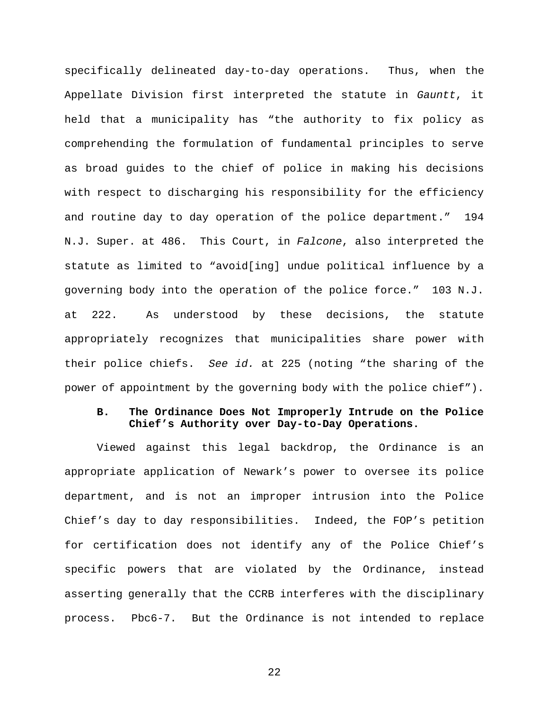specifically delineated day-to-day operations. Thus, when the Appellate Division first interpreted the statute in *Gauntt*, it held that a municipality has "the authority to fix policy as comprehending the formulation of fundamental principles to serve as broad guides to the chief of police in making his decisions with respect to discharging his responsibility for the efficiency and routine day to day operation of the police department." 194 N.J. Super. at 486. This Court, in *Falcone*, also interpreted the statute as limited to "avoid[ing] undue political influence by a governing body into the operation of the police force." 103 N.J. at 222. As understood by these decisions, the statute appropriately recognizes that municipalities share power with their police chiefs. *See id.* at 225 (noting "the sharing of the power of appointment by the governing body with the police chief").

### **B. The Ordinance Does Not Improperly Intrude on the Police Chief's Authority over Day-to-Day Operations.**

Viewed against this legal backdrop, the Ordinance is an appropriate application of Newark's power to oversee its police department, and is not an improper intrusion into the Police Chief's day to day responsibilities. Indeed, the FOP's petition for certification does not identify any of the Police Chief's specific powers that are violated by the Ordinance, instead asserting generally that the CCRB interferes with the disciplinary process. Pbc6-7. But the Ordinance is not intended to replace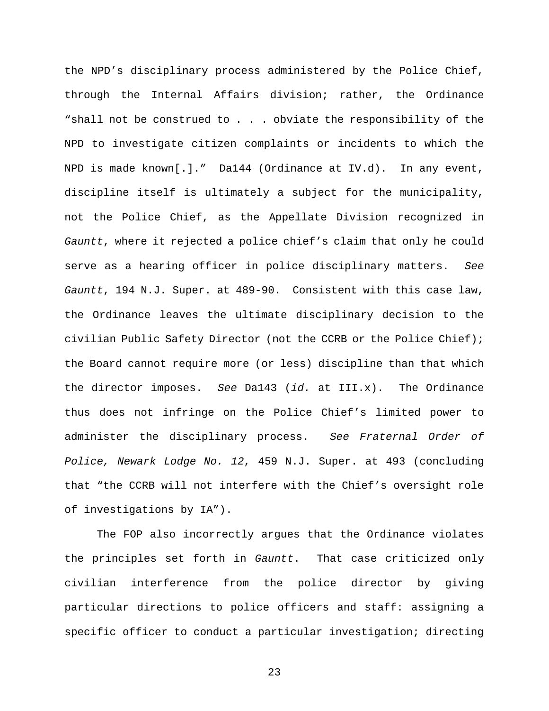the NPD's disciplinary process administered by the Police Chief, through the Internal Affairs division; rather, the Ordinance "shall not be construed to . . . obviate the responsibility of the NPD to investigate citizen complaints or incidents to which the NPD is made known[.]." Da144 (Ordinance at IV.d). In any event, discipline itself is ultimately a subject for the municipality, not the Police Chief, as the Appellate Division recognized in *Gauntt*, where it rejected a police chief's claim that only he could serve as a hearing officer in police disciplinary matters. *See Gauntt*, 194 N.J. Super. at 489-90. Consistent with this case law, the Ordinance leaves the ultimate disciplinary decision to the civilian Public Safety Director (not the CCRB or the Police Chief); the Board cannot require more (or less) discipline than that which the director imposes. *See* Da143 (*id.* at III.x). The Ordinance thus does not infringe on the Police Chief's limited power to administer the disciplinary process. *See Fraternal Order of Police, Newark Lodge No. 12*, 459 N.J. Super. at 493 (concluding that "the CCRB will not interfere with the Chief's oversight role of investigations by IA").

The FOP also incorrectly argues that the Ordinance violates the principles set forth in *Gauntt*. That case criticized only civilian interference from the police director by giving particular directions to police officers and staff: assigning a specific officer to conduct a particular investigation; directing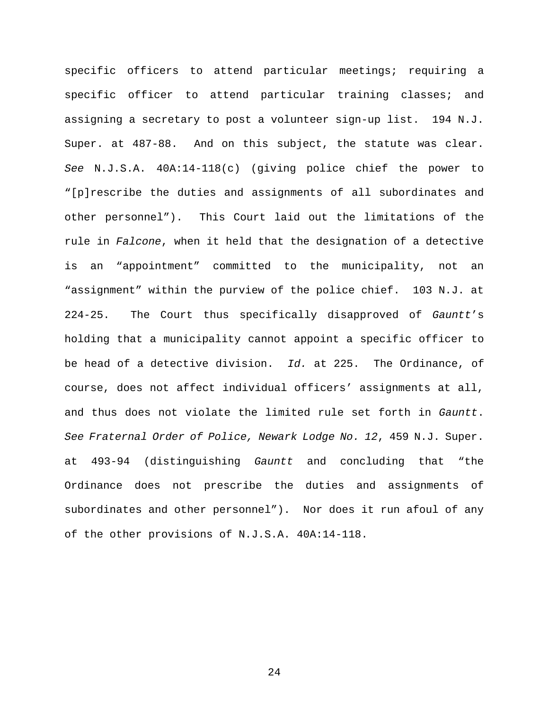specific officers to attend particular meetings; requiring a specific officer to attend particular training classes; and assigning a secretary to post a volunteer sign-up list. 194 N.J. Super. at 487-88. And on this subject, the statute was clear. *See* N.J.S.A. 40A:14-118(c) (giving police chief the power to "[p]rescribe the duties and assignments of all subordinates and other personnel"). This Court laid out the limitations of the rule in *Falcone*, when it held that the designation of a detective is an "appointment" committed to the municipality, not an "assignment" within the purview of the police chief. 103 N.J. at 224-25. The Court thus specifically disapproved of *Gauntt*'s holding that a municipality cannot appoint a specific officer to be head of a detective division. *Id.* at 225. The Ordinance, of course, does not affect individual officers' assignments at all, and thus does not violate the limited rule set forth in *Gauntt*. *See Fraternal Order of Police, Newark Lodge No. 12*, 459 N.J. Super. at 493-94 (distinguishing *Gauntt* and concluding that "the Ordinance does not prescribe the duties and assignments of subordinates and other personnel"). Nor does it run afoul of any of the other provisions of N.J.S.A. 40A:14-118.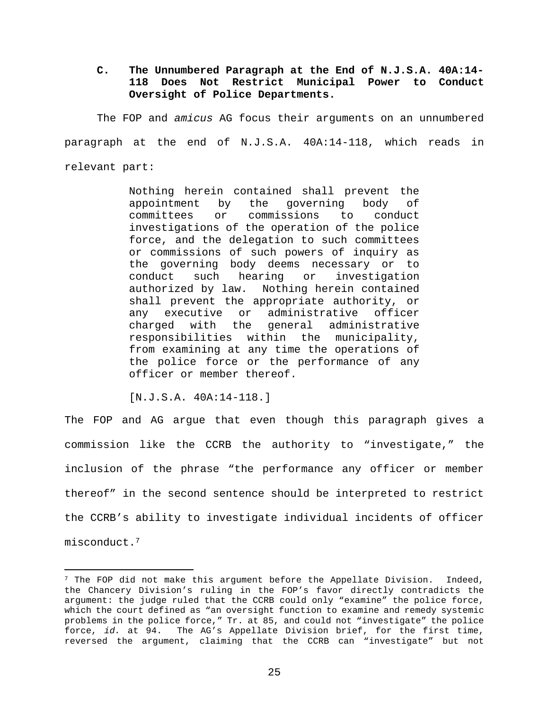# **C. The Unnumbered Paragraph at the End of N.J.S.A. 40A:14- 118 Does Not Restrict Municipal Power to Conduct Oversight of Police Departments.**

The FOP and *amicus* AG focus their arguments on an unnumbered paragraph at the end of N.J.S.A. 40A:14-118, which reads in relevant part:

> Nothing herein contained shall prevent the appointment by the governing body of committees or commissions to conduct investigations of the operation of the police force, and the delegation to such committees or commissions of such powers of inquiry as the governing body deems necessary or to conduct such hearing or investigation authorized by law. Nothing herein contained shall prevent the appropriate authority, or any executive or administrative officer charged with the general administrative responsibilities within the municipality, from examining at any time the operations of the police force or the performance of any officer or member thereof.

[N.J.S.A. 40A:14-118.]

The FOP and AG argue that even though this paragraph gives a commission like the CCRB the authority to "investigate," the inclusion of the phrase "the performance any officer or member thereof" in the second sentence should be interpreted to restrict the CCRB's ability to investigate individual incidents of officer misconduct.<sup>7</sup>

 $7$  The FOP did not make this argument before the Appellate Division. Indeed, the Chancery Division's ruling in the FOP's favor directly contradicts the argument: the judge ruled that the CCRB could only "examine" the police force, which the court defined as "an oversight function to examine and remedy systemic problems in the police force," Tr. at 85, and could not "investigate" the police force, *id.* at 94. The AG's Appellate Division brief, for the first time, reversed the argument, claiming that the CCRB can "investigate" but not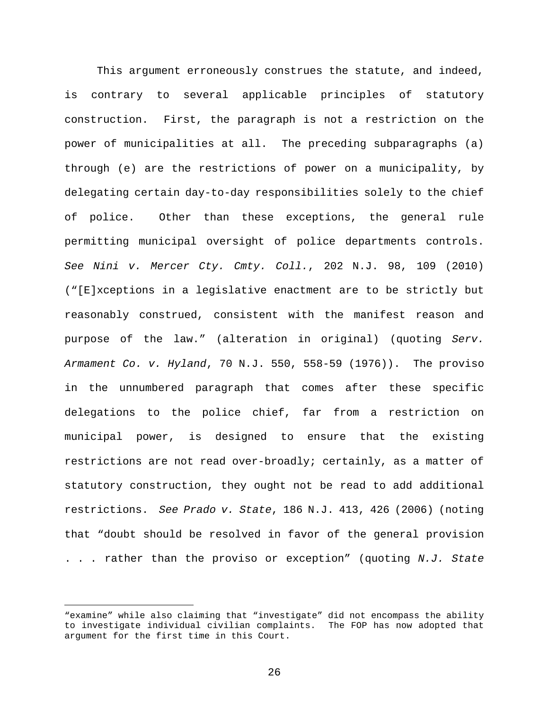This argument erroneously construes the statute, and indeed, is contrary to several applicable principles of statutory construction. First, the paragraph is not a restriction on the power of municipalities at all. The preceding subparagraphs (a) through (e) are the restrictions of power on a municipality, by delegating certain day-to-day responsibilities solely to the chief of police. Other than these exceptions, the general rule permitting municipal oversight of police departments controls. *See Nini v. Mercer Cty. Cmty. Coll.*, 202 N.J. 98, 109 (2010) ("[E]xceptions in a legislative enactment are to be strictly but reasonably construed, consistent with the manifest reason and purpose of the law." (alteration in original) (quoting *Serv. Armament Co. v. Hyland*, 70 N.J. 550, 558-59 (1976)). The proviso in the unnumbered paragraph that comes after these specific delegations to the police chief, far from a restriction on municipal power, is designed to ensure that the existing restrictions are not read over-broadly; certainly, as a matter of statutory construction, they ought not be read to add additional restrictions. *See Prado v. State*, 186 N.J. 413, 426 (2006) (noting that "doubt should be resolved in favor of the general provision . . . rather than the proviso or exception" (quoting *N.J. State* 

<sup>&</sup>quot;examine" while also claiming that "investigate" did not encompass the ability to investigate individual civilian complaints. The FOP has now adopted that argument for the first time in this Court.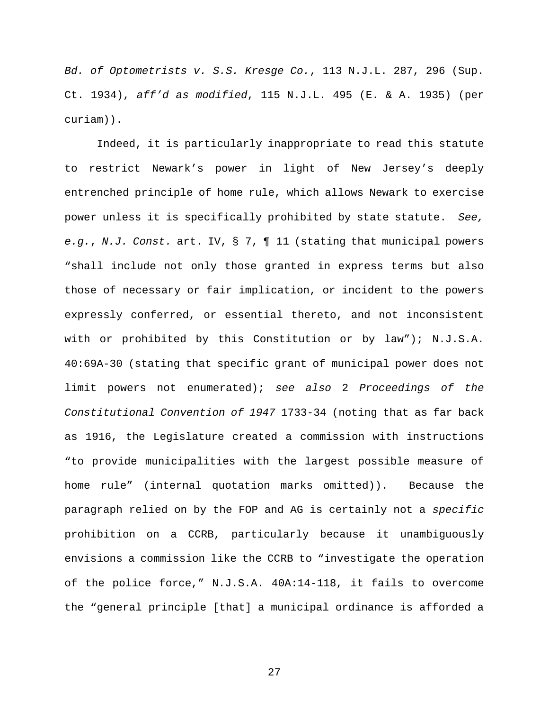*Bd. of Optometrists v. S.S. Kresge Co.*, 113 N.J.L. 287, 296 (Sup. Ct. 1934), *aff'd as modified*, 115 N.J.L. 495 (E. & A. 1935) (per curiam)).

Indeed, it is particularly inappropriate to read this statute to restrict Newark's power in light of New Jersey's deeply entrenched principle of home rule, which allows Newark to exercise power unless it is specifically prohibited by state statute. *See, e.g.*, *N.J. Const.* art. IV, § 7, ¶ 11 (stating that municipal powers "shall include not only those granted in express terms but also those of necessary or fair implication, or incident to the powers expressly conferred, or essential thereto, and not inconsistent with or prohibited by this Constitution or by law"); N.J.S.A. 40:69A-30 (stating that specific grant of municipal power does not limit powers not enumerated); *see also* 2 *Proceedings of the Constitutional Convention of 1947* 1733-34 (noting that as far back as 1916, the Legislature created a commission with instructions "to provide municipalities with the largest possible measure of home rule" (internal quotation marks omitted)). Because the paragraph relied on by the FOP and AG is certainly not a *specific* prohibition on a CCRB, particularly because it unambiguously envisions a commission like the CCRB to "investigate the operation of the police force," N.J.S.A. 40A:14-118, it fails to overcome the "general principle [that] a municipal ordinance is afforded a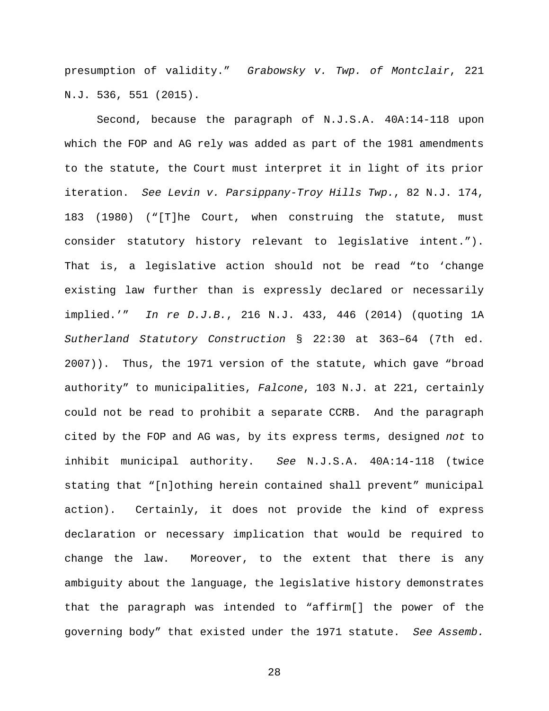presumption of validity." *Grabowsky v. Twp. of Montclair*, 221 N.J. 536, 551 (2015).

Second, because the paragraph of N.J.S.A. 40A:14-118 upon which the FOP and AG rely was added as part of the 1981 amendments to the statute, the Court must interpret it in light of its prior iteration. *See Levin v. Parsippany-Troy Hills Twp.*, 82 N.J. 174, 183 (1980) ("[T]he Court, when construing the statute, must consider statutory history relevant to legislative intent."). That is, a legislative action should not be read "to 'change existing law further than is expressly declared or necessarily implied.'" *In re D.J.B.*, 216 N.J. 433, 446 (2014) (quoting 1A *Sutherland Statutory Construction* § 22:30 at 363–64 (7th ed. 2007)). Thus, the 1971 version of the statute, which gave "broad authority" to municipalities, *Falcone*, 103 N.J. at 221, certainly could not be read to prohibit a separate CCRB. And the paragraph cited by the FOP and AG was, by its express terms, designed *not* to inhibit municipal authority. *See* N.J.S.A. 40A:14-118 (twice stating that "[n]othing herein contained shall prevent" municipal action). Certainly, it does not provide the kind of express declaration or necessary implication that would be required to change the law. Moreover, to the extent that there is any ambiguity about the language, the legislative history demonstrates that the paragraph was intended to "affirm[] the power of the governing body" that existed under the 1971 statute. *See Assemb.*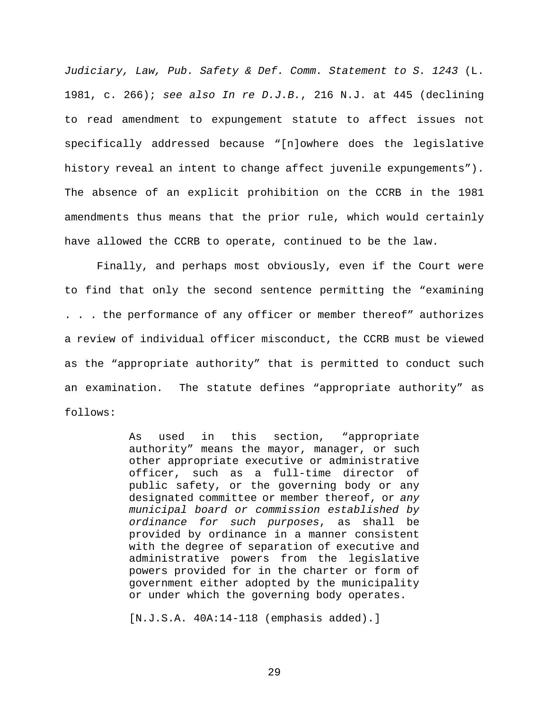*Judiciary, Law, Pub. Safety & Def. Comm. Statement to S. 1243* (L. 1981, c. 266); *see also In re D.J.B.*, 216 N.J. at 445 (declining to read amendment to expungement statute to affect issues not specifically addressed because "[n]owhere does the legislative history reveal an intent to change affect juvenile expungements"). The absence of an explicit prohibition on the CCRB in the 1981 amendments thus means that the prior rule, which would certainly have allowed the CCRB to operate, continued to be the law.

Finally, and perhaps most obviously, even if the Court were to find that only the second sentence permitting the "examining . . . the performance of any officer or member thereof" authorizes a review of individual officer misconduct, the CCRB must be viewed as the "appropriate authority" that is permitted to conduct such an examination. The statute defines "appropriate authority" as follows:

> As used in this section, "appropriate authority" means the mayor, manager, or such other appropriate executive or administrative officer, such as a full-time director of public safety, or the governing body or any designated committee or member thereof, or *any municipal board or commission established by ordinance for such purposes*, as shall be provided by ordinance in a manner consistent with the degree of separation of executive and administrative powers from the legislative powers provided for in the charter or form of government either adopted by the municipality or under which the governing body operates.

[N.J.S.A. 40A:14-118 (emphasis added).]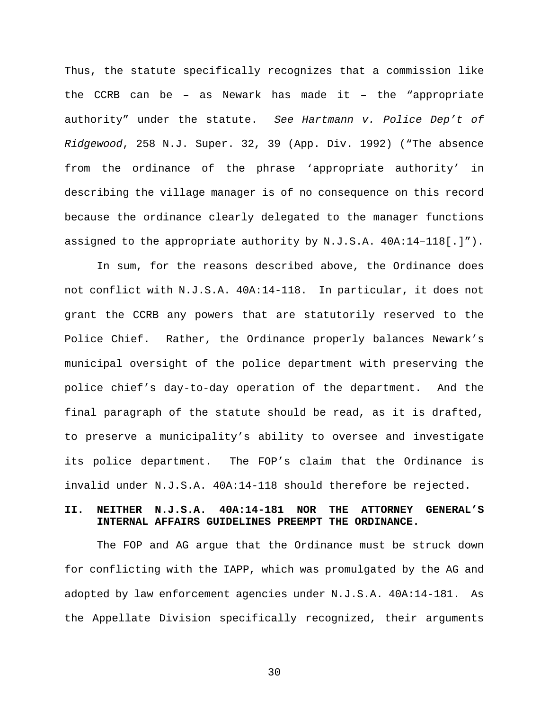Thus, the statute specifically recognizes that a commission like the CCRB can be – as Newark has made it – the "appropriate authority" under the statute. *See Hartmann v. Police Dep't of Ridgewood*, 258 N.J. Super. 32, 39 (App. Div. 1992) ("The absence from the ordinance of the phrase 'appropriate authority' in describing the village manager is of no consequence on this record because the ordinance clearly delegated to the manager functions assigned to the appropriate authority by N.J.S.A. 40A:14–118[.]").

In sum, for the reasons described above, the Ordinance does not conflict with N.J.S.A. 40A:14-118. In particular, it does not grant the CCRB any powers that are statutorily reserved to the Police Chief. Rather, the Ordinance properly balances Newark's municipal oversight of the police department with preserving the police chief's day-to-day operation of the department. And the final paragraph of the statute should be read, as it is drafted, to preserve a municipality's ability to oversee and investigate its police department. The FOP's claim that the Ordinance is invalid under N.J.S.A. 40A:14-118 should therefore be rejected.

### **II. NEITHER N.J.S.A. 40A:14-181 NOR THE ATTORNEY GENERAL'S INTERNAL AFFAIRS GUIDELINES PREEMPT THE ORDINANCE.**

The FOP and AG argue that the Ordinance must be struck down for conflicting with the IAPP, which was promulgated by the AG and adopted by law enforcement agencies under N.J.S.A. 40A:14-181. As the Appellate Division specifically recognized, their arguments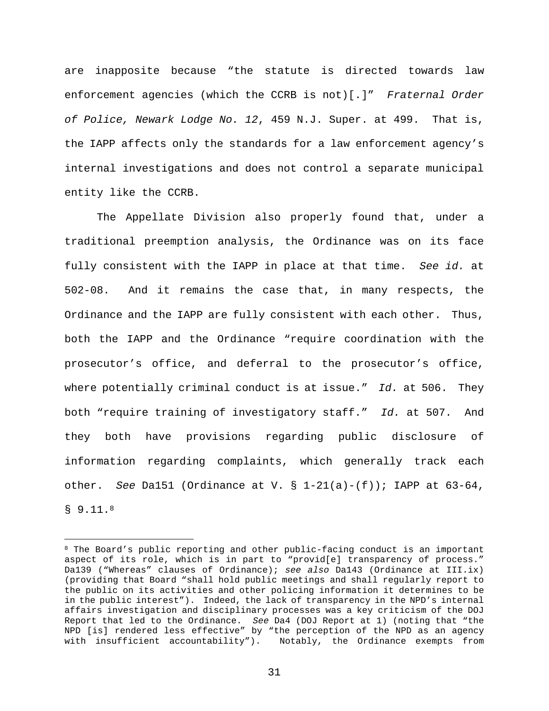are inapposite because "the statute is directed towards law enforcement agencies (which the CCRB is not)[.]" *Fraternal Order of Police, Newark Lodge No. 12*, 459 N.J. Super. at 499. That is, the IAPP affects only the standards for a law enforcement agency's internal investigations and does not control a separate municipal entity like the CCRB.

The Appellate Division also properly found that, under a traditional preemption analysis, the Ordinance was on its face fully consistent with the IAPP in place at that time. *See id.* at 502-08. And it remains the case that, in many respects, the Ordinance and the IAPP are fully consistent with each other. Thus, both the IAPP and the Ordinance "require coordination with the prosecutor's office, and deferral to the prosecutor's office, where potentially criminal conduct is at issue." *Id.* at 506. They both "require training of investigatory staff." *Id.* at 507. And they both have provisions regarding public disclosure of information regarding complaints, which generally track each other. *See* Da151 (Ordinance at V. § 1-21(a)-(f)); IAPP at 63-64, § 9.11.<sup>8</sup>

<sup>&</sup>lt;sup>8</sup> The Board's public reporting and other public-facing conduct is an important aspect of its role, which is in part to "provid[e] transparency of process." Da139 ("Whereas" clauses of Ordinance); *see also* Da143 (Ordinance at III.ix) (providing that Board "shall hold public meetings and shall regularly report to the public on its activities and other policing information it determines to be in the public interest"). Indeed, the lack of transparency in the NPD's internal affairs investigation and disciplinary processes was a key criticism of the DOJ Report that led to the Ordinance. *See* Da4 (DOJ Report at 1) (noting that "the NPD [is] rendered less effective" by "the perception of the NPD as an agency with insufficient accountability"). Notably, the Ordinance exempts from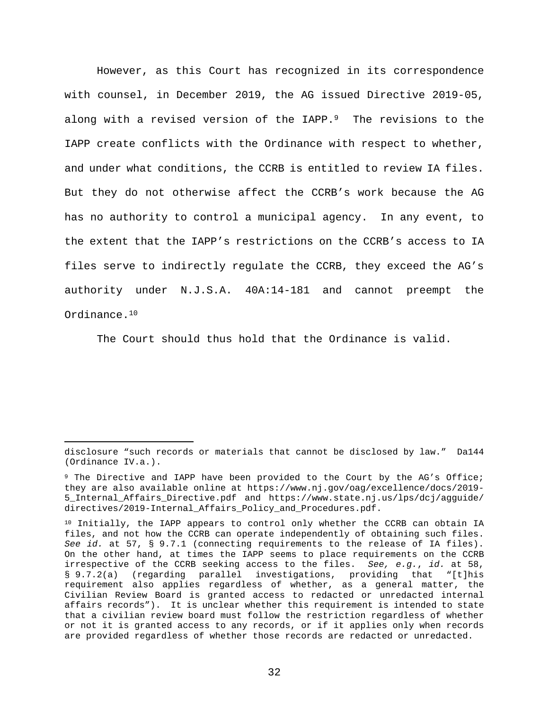However, as this Court has recognized in its correspondence with counsel, in December 2019, the AG issued Directive 2019-05, along with a revised version of the IAPP.<sup>9</sup> The revisions to the IAPP create conflicts with the Ordinance with respect to whether, and under what conditions, the CCRB is entitled to review IA files. But they do not otherwise affect the CCRB's work because the AG has no authority to control a municipal agency. In any event, to the extent that the IAPP's restrictions on the CCRB's access to IA files serve to indirectly regulate the CCRB, they exceed the AG's authority under N.J.S.A. 40A:14-181 and cannot preempt the Ordinance.<sup>10</sup>

The Court should thus hold that the Ordinance is valid.

disclosure "such records or materials that cannot be disclosed by law." Da144 (Ordinance IV.a.).

<sup>9</sup> The Directive and IAPP have been provided to the Court by the AG's Office; they are also available online at https://www.nj.gov/oag/excellence/docs/2019- 5\_Internal\_Affairs\_Directive.pdf and https://www.state.nj.us/lps/dcj/agguide/ directives/2019-Internal\_Affairs\_Policy\_and\_Procedures.pdf.

<sup>&</sup>lt;sup>10</sup> Initially, the IAPP appears to control only whether the CCRB can obtain IA files, and not how the CCRB can operate independently of obtaining such files. *See id.* at 57, § 9.7.1 (connecting requirements to the release of IA files). On the other hand, at times the IAPP seems to place requirements on the CCRB irrespective of the CCRB seeking access to the files. *See, e.g.*, *id.* at 58, § 9.7.2(a) (regarding parallel investigations, providing that "[t]his requirement also applies regardless of whether, as a general matter, the Civilian Review Board is granted access to redacted or unredacted internal affairs records"). It is unclear whether this requirement is intended to state that a civilian review board must follow the restriction regardless of whether or not it is granted access to any records, or if it applies only when records are provided regardless of whether those records are redacted or unredacted.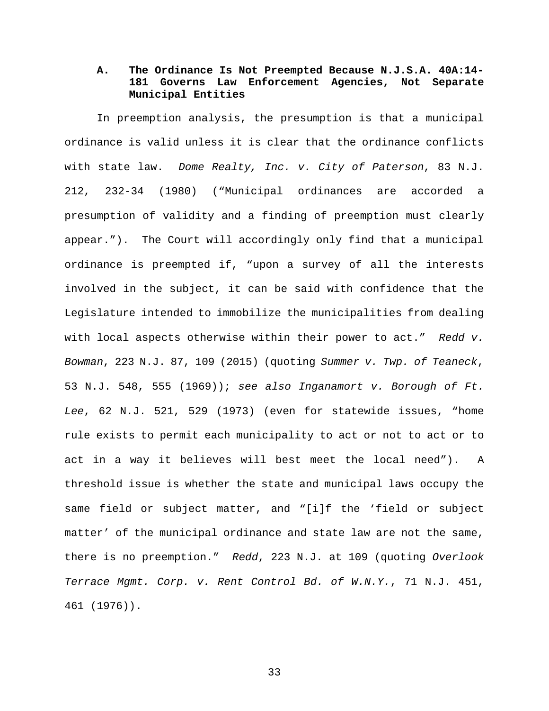# **A. The Ordinance Is Not Preempted Because N.J.S.A. 40A:14- 181 Governs Law Enforcement Agencies, Not Separate Municipal Entities**

In preemption analysis, the presumption is that a municipal ordinance is valid unless it is clear that the ordinance conflicts with state law. *Dome Realty, Inc. v. City of Paterson*, 83 N.J. 212, 232-34 (1980) ("Municipal ordinances are accorded a presumption of validity and a finding of preemption must clearly appear."). The Court will accordingly only find that a municipal ordinance is preempted if, "upon a survey of all the interests involved in the subject, it can be said with confidence that the Legislature intended to immobilize the municipalities from dealing with local aspects otherwise within their power to act." *Redd v. Bowman*, 223 N.J. 87, 109 (2015) (quoting *Summer v. Twp. of Teaneck*, 53 N.J. 548, 555 (1969)); *see also Inganamort v. Borough of Ft. Lee*, 62 N.J. 521, 529 (1973) (even for statewide issues, "home rule exists to permit each municipality to act or not to act or to act in a way it believes will best meet the local need"). A threshold issue is whether the state and municipal laws occupy the same field or subject matter, and "[i]f the 'field or subject matter' of the municipal ordinance and state law are not the same, there is no preemption." *Redd*, 223 N.J. at 109 (quoting *Overlook Terrace Mgmt. Corp. v. Rent Control Bd. of W.N.Y.*, 71 N.J. 451, 461 (1976)).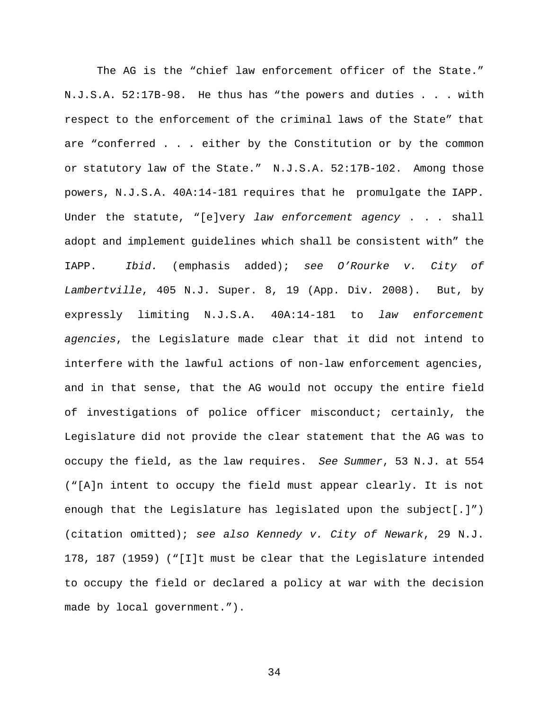The AG is the "chief law enforcement officer of the State." N.J.S.A. 52:17B-98. He thus has "the powers and duties . . . with respect to the enforcement of the criminal laws of the State" that are "conferred . . . either by the Constitution or by the common or statutory law of the State." N.J.S.A. 52:17B-102. Among those powers, N.J.S.A. 40A:14-181 requires that he promulgate the IAPP. Under the statute, "[e]very *law enforcement agency* . . . shall adopt and implement guidelines which shall be consistent with" the IAPP. *Ibid.* (emphasis added); *see O'Rourke v. City of Lambertville*, 405 N.J. Super. 8, 19 (App. Div. 2008). But, by expressly limiting N.J.S.A. 40A:14-181 to *law enforcement agencies*, the Legislature made clear that it did not intend to interfere with the lawful actions of non-law enforcement agencies, and in that sense, that the AG would not occupy the entire field of investigations of police officer misconduct; certainly, the Legislature did not provide the clear statement that the AG was to occupy the field, as the law requires. *See Summer*, 53 N.J. at 554 ("[A]n intent to occupy the field must appear clearly. It is not enough that the Legislature has legislated upon the subject[.]") (citation omitted); *see also Kennedy v. City of Newark*, 29 N.J. 178, 187 (1959) ("[I]t must be clear that the Legislature intended to occupy the field or declared a policy at war with the decision made by local government.").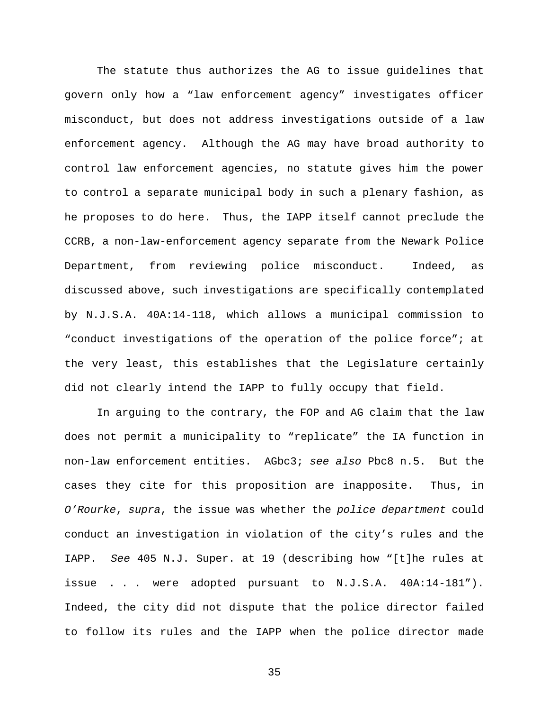The statute thus authorizes the AG to issue guidelines that govern only how a "law enforcement agency" investigates officer misconduct, but does not address investigations outside of a law enforcement agency. Although the AG may have broad authority to control law enforcement agencies, no statute gives him the power to control a separate municipal body in such a plenary fashion, as he proposes to do here. Thus, the IAPP itself cannot preclude the CCRB, a non-law-enforcement agency separate from the Newark Police Department, from reviewing police misconduct. Indeed, as discussed above, such investigations are specifically contemplated by N.J.S.A. 40A:14-118, which allows a municipal commission to "conduct investigations of the operation of the police force"; at the very least, this establishes that the Legislature certainly did not clearly intend the IAPP to fully occupy that field.

In arguing to the contrary, the FOP and AG claim that the law does not permit a municipality to "replicate" the IA function in non-law enforcement entities. AGbc3; *see also* Pbc8 n.5. But the cases they cite for this proposition are inapposite. Thus, in *O'Rourke*, *supra*, the issue was whether the *police department* could conduct an investigation in violation of the city's rules and the IAPP. *See* 405 N.J. Super. at 19 (describing how "[t]he rules at issue . . . were adopted pursuant to N.J.S.A. 40A:14-181"). Indeed, the city did not dispute that the police director failed to follow its rules and the IAPP when the police director made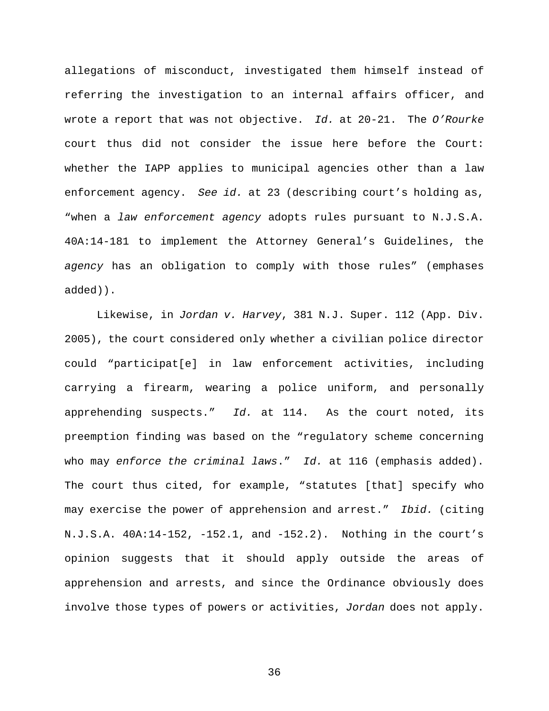allegations of misconduct, investigated them himself instead of referring the investigation to an internal affairs officer, and wrote a report that was not objective. *Id.* at 20-21. The *O'Rourke* court thus did not consider the issue here before the Court: whether the IAPP applies to municipal agencies other than a law enforcement agency. *See id.* at 23 (describing court's holding as, "when a *law enforcement agency* adopts rules pursuant to N.J.S.A. 40A:14-181 to implement the Attorney General's Guidelines, the *agency* has an obligation to comply with those rules" (emphases added)).

Likewise, in *Jordan v. Harvey*, 381 N.J. Super. 112 (App. Div. 2005), the court considered only whether a civilian police director could "participat[e] in law enforcement activities, including carrying a firearm, wearing a police uniform, and personally apprehending suspects." *Id.* at 114. As the court noted, its preemption finding was based on the "regulatory scheme concerning who may *enforce the criminal laws*." *Id.* at 116 (emphasis added). The court thus cited, for example, "statutes [that] specify who may exercise the power of apprehension and arrest." *Ibid.* (citing N.J.S.A. 40A:14-152, -152.1, and -152.2). Nothing in the court's opinion suggests that it should apply outside the areas of apprehension and arrests, and since the Ordinance obviously does involve those types of powers or activities, *Jordan* does not apply.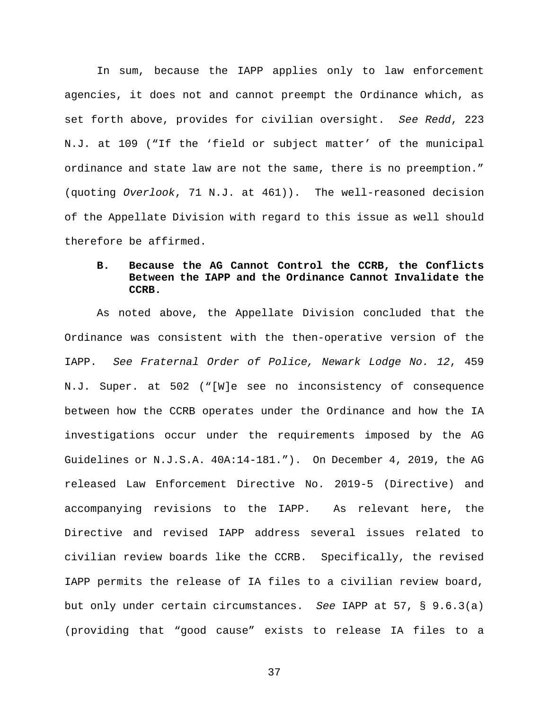In sum, because the IAPP applies only to law enforcement agencies, it does not and cannot preempt the Ordinance which, as set forth above, provides for civilian oversight. *See Redd*, 223 N.J. at 109 ("If the 'field or subject matter' of the municipal ordinance and state law are not the same, there is no preemption." (quoting *Overlook*, 71 N.J. at 461)). The well-reasoned decision of the Appellate Division with regard to this issue as well should therefore be affirmed.

# **B. Because the AG Cannot Control the CCRB, the Conflicts Between the IAPP and the Ordinance Cannot Invalidate the CCRB.**

As noted above, the Appellate Division concluded that the Ordinance was consistent with the then-operative version of the IAPP. *See Fraternal Order of Police, Newark Lodge No. 12*, 459 N.J. Super. at 502 ("[W]e see no inconsistency of consequence between how the CCRB operates under the Ordinance and how the IA investigations occur under the requirements imposed by the AG Guidelines or N.J.S.A. 40A:14-181."). On December 4, 2019, the AG released Law Enforcement Directive No. 2019-5 (Directive) and accompanying revisions to the IAPP. As relevant here, the Directive and revised IAPP address several issues related to civilian review boards like the CCRB. Specifically, the revised IAPP permits the release of IA files to a civilian review board, but only under certain circumstances. *See* IAPP at 57, § 9.6.3(a) (providing that "good cause" exists to release IA files to a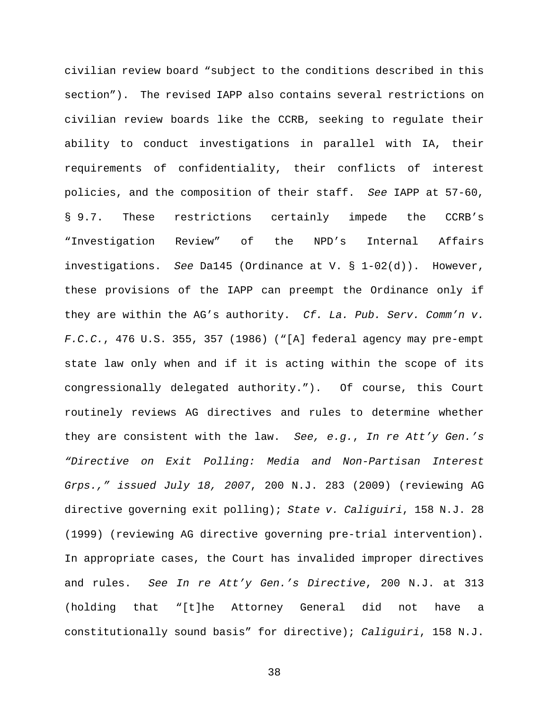civilian review board "subject to the conditions described in this section"). The revised IAPP also contains several restrictions on civilian review boards like the CCRB, seeking to regulate their ability to conduct investigations in parallel with IA, their requirements of confidentiality, their conflicts of interest policies, and the composition of their staff. *See* IAPP at 57-60, § 9.7. These restrictions certainly impede the CCRB's "Investigation Review" of the NPD's Internal Affairs investigations. *See* Da145 (Ordinance at V. § 1-02(d)). However, these provisions of the IAPP can preempt the Ordinance only if they are within the AG's authority. *Cf. La. Pub. Serv. Comm'n v. F.C.C.*, 476 U.S. 355, 357 (1986) ("[A] federal agency may pre-empt state law only when and if it is acting within the scope of its congressionally delegated authority."). Of course, this Court routinely reviews AG directives and rules to determine whether they are consistent with the law. *See, e.g.*, *In re Att'y Gen.'s "Directive on Exit Polling: Media and Non-Partisan Interest Grps.," issued July 18, 2007*, 200 N.J. 283 (2009) (reviewing AG directive governing exit polling); *State v. Caliguiri*, 158 N.J. 28 (1999) (reviewing AG directive governing pre-trial intervention). In appropriate cases, the Court has invalided improper directives and rules. *See In re Att'y Gen.'s Directive*, 200 N.J. at 313 (holding that "[t]he Attorney General did not have a constitutionally sound basis" for directive); *Caliguiri*, 158 N.J.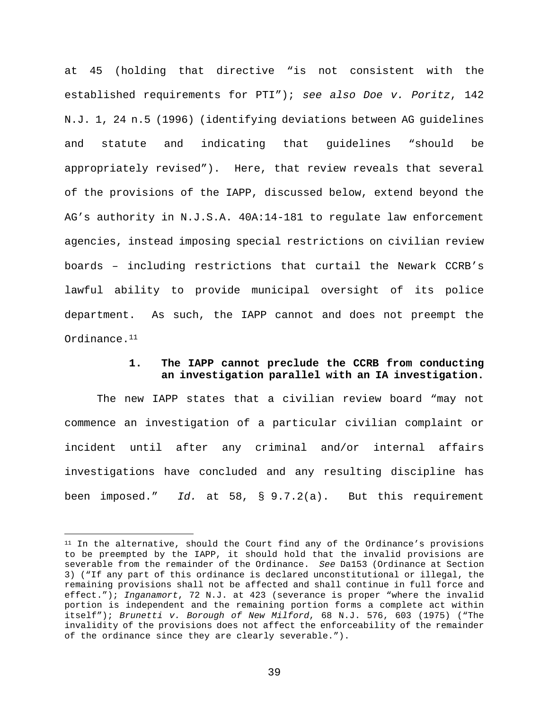at 45 (holding that directive "is not consistent with the established requirements for PTI"); *see also Doe v. Poritz*, 142 N.J. 1, 24 n.5 (1996) (identifying deviations between AG guidelines and statute and indicating that guidelines "should be appropriately revised"). Here, that review reveals that several of the provisions of the IAPP, discussed below, extend beyond the AG's authority in N.J.S.A. 40A:14-181 to regulate law enforcement agencies, instead imposing special restrictions on civilian review boards – including restrictions that curtail the Newark CCRB's lawful ability to provide municipal oversight of its police department. As such, the IAPP cannot and does not preempt the Ordinance.<sup>11</sup>

### **1. The IAPP cannot preclude the CCRB from conducting an investigation parallel with an IA investigation.**

The new IAPP states that a civilian review board "may not commence an investigation of a particular civilian complaint or incident until after any criminal and/or internal affairs investigations have concluded and any resulting discipline has been imposed." *Id.* at 58, § 9.7.2(a). But this requirement

<sup>&</sup>lt;sup>11</sup> In the alternative, should the Court find any of the Ordinance's provisions to be preempted by the IAPP, it should hold that the invalid provisions are severable from the remainder of the Ordinance. *See* Da153 (Ordinance at Section 3) ("If any part of this ordinance is declared unconstitutional or illegal, the remaining provisions shall not be affected and shall continue in full force and effect."); *Inganamort*, 72 N.J. at 423 (severance is proper "where the invalid portion is independent and the remaining portion forms a complete act within itself"); *Brunetti v. Borough of New Milford*, 68 N.J. 576, 603 (1975) ("The invalidity of the provisions does not affect the enforceability of the remainder of the ordinance since they are clearly severable.").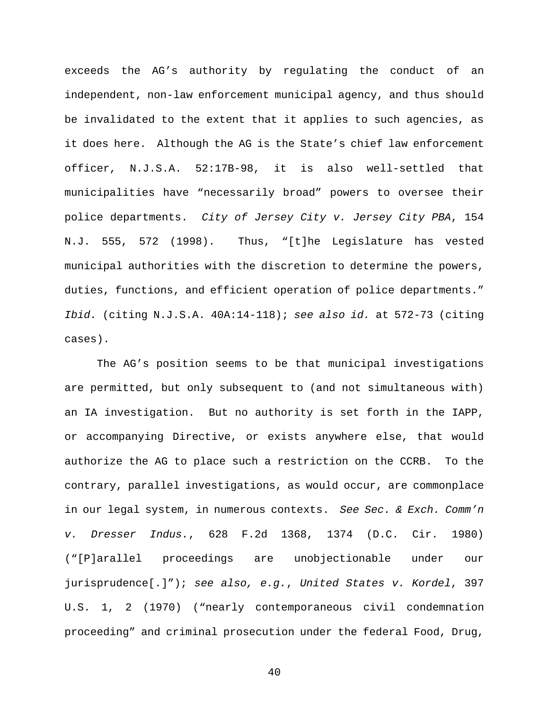exceeds the AG's authority by regulating the conduct of an independent, non-law enforcement municipal agency, and thus should be invalidated to the extent that it applies to such agencies, as it does here. Although the AG is the State's chief law enforcement officer, N.J.S.A. 52:17B-98, it is also well-settled that municipalities have "necessarily broad" powers to oversee their police departments. *City of Jersey City v. Jersey City PBA*, 154 N.J. 555, 572 (1998). Thus, "[t]he Legislature has vested municipal authorities with the discretion to determine the powers, duties, functions, and efficient operation of police departments." *Ibid.* (citing N.J.S.A. 40A:14-118); *see also id.* at 572-73 (citing cases).

The AG's position seems to be that municipal investigations are permitted, but only subsequent to (and not simultaneous with) an IA investigation. But no authority is set forth in the IAPP, or accompanying Directive, or exists anywhere else, that would authorize the AG to place such a restriction on the CCRB. To the contrary, parallel investigations, as would occur, are commonplace in our legal system, in numerous contexts. *See Sec. & Exch. Comm'n v. Dresser Indus.*, 628 F.2d 1368, 1374 (D.C. Cir. 1980) ("[P]arallel proceedings are unobjectionable under our jurisprudence[.]"); *see also, e.g.*, *United States v. Kordel*, 397 U.S. 1, 2 (1970) ("nearly contemporaneous civil condemnation proceeding" and criminal prosecution under the federal Food, Drug,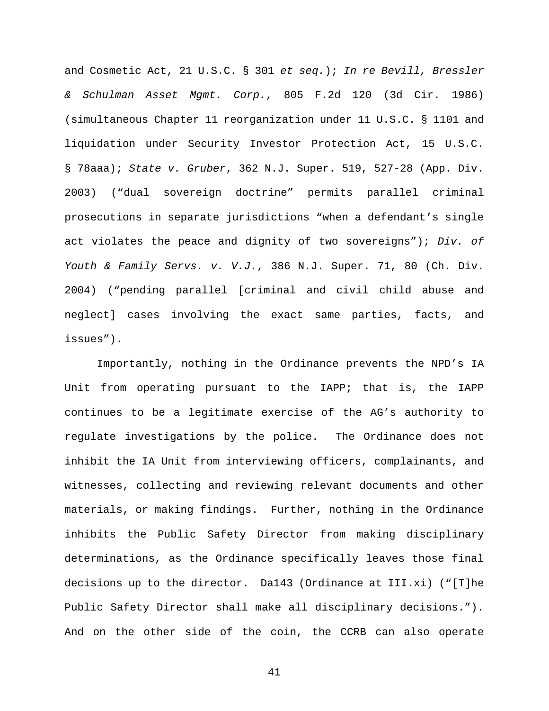and Cosmetic Act, 21 U.S.C. § 301 *et seq.*); *In re Bevill, Bressler & Schulman Asset Mgmt. Corp.*, 805 F.2d 120 (3d Cir. 1986) (simultaneous Chapter 11 reorganization under 11 U.S.C. § 1101 and liquidation under Security Investor Protection Act, 15 U.S.C. § 78aaa); *State v. Gruber*, 362 N.J. Super. 519, 527-28 (App. Div. 2003) ("dual sovereign doctrine" permits parallel criminal prosecutions in separate jurisdictions "when a defendant's single act violates the peace and dignity of two sovereigns"); *Div. of Youth & Family Servs. v. V.J.*, 386 N.J. Super. 71, 80 (Ch. Div. 2004) ("pending parallel [criminal and civil child abuse and neglect] cases involving the exact same parties, facts, and issues").

Importantly, nothing in the Ordinance prevents the NPD's IA Unit from operating pursuant to the IAPP; that is, the IAPP continues to be a legitimate exercise of the AG's authority to regulate investigations by the police. The Ordinance does not inhibit the IA Unit from interviewing officers, complainants, and witnesses, collecting and reviewing relevant documents and other materials, or making findings. Further, nothing in the Ordinance inhibits the Public Safety Director from making disciplinary determinations, as the Ordinance specifically leaves those final decisions up to the director. Da143 (Ordinance at III.xi) ("[T]he Public Safety Director shall make all disciplinary decisions."). And on the other side of the coin, the CCRB can also operate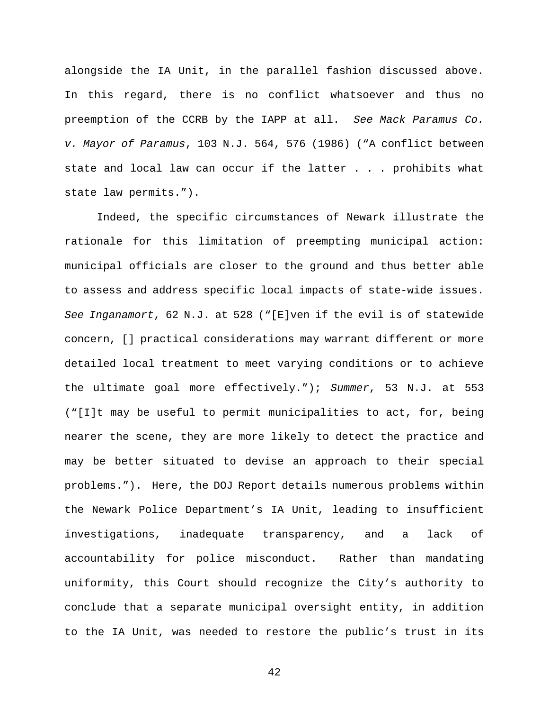alongside the IA Unit, in the parallel fashion discussed above. In this regard, there is no conflict whatsoever and thus no preemption of the CCRB by the IAPP at all. *See Mack Paramus Co. v. Mayor of Paramus*, 103 N.J. 564, 576 (1986) ("A conflict between state and local law can occur if the latter . . . prohibits what state law permits.").

Indeed, the specific circumstances of Newark illustrate the rationale for this limitation of preempting municipal action: municipal officials are closer to the ground and thus better able to assess and address specific local impacts of state-wide issues. *See Inganamort*, 62 N.J. at 528 ("[E]ven if the evil is of statewide concern, [] practical considerations may warrant different or more detailed local treatment to meet varying conditions or to achieve the ultimate goal more effectively."); *Summer*, 53 N.J. at 553 ("[I]t may be useful to permit municipalities to act, for, being nearer the scene, they are more likely to detect the practice and may be better situated to devise an approach to their special problems."). Here, the DOJ Report details numerous problems within the Newark Police Department's IA Unit, leading to insufficient investigations, inadequate transparency, and a lack of accountability for police misconduct. Rather than mandating uniformity, this Court should recognize the City's authority to conclude that a separate municipal oversight entity, in addition to the IA Unit, was needed to restore the public's trust in its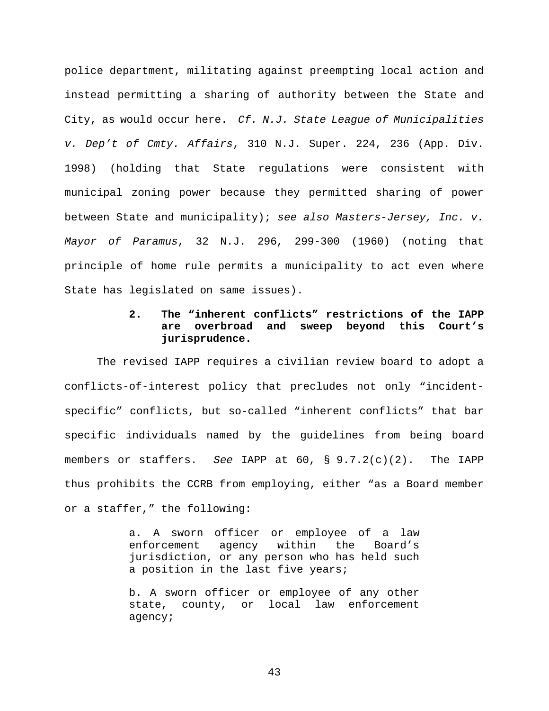police department, militating against preempting local action and instead permitting a sharing of authority between the State and City, as would occur here. *Cf. N.J. State League of Municipalities v. Dep't of Cmty. Affairs*, 310 N.J. Super. 224, 236 (App. Div. 1998) (holding that State regulations were consistent with municipal zoning power because they permitted sharing of power between State and municipality); *see also Masters-Jersey, Inc. v. Mayor of Paramus*, 32 N.J. 296, 299-300 (1960) (noting that principle of home rule permits a municipality to act even where State has legislated on same issues).

# **2. The "inherent conflicts" restrictions of the IAPP are overbroad and sweep beyond this Court's jurisprudence.**

The revised IAPP requires a civilian review board to adopt a conflicts-of-interest policy that precludes not only "incidentspecific" conflicts, but so-called "inherent conflicts" that bar specific individuals named by the guidelines from being board members or staffers. *See* IAPP at 60, § 9.7.2(c)(2). The IAPP thus prohibits the CCRB from employing, either "as a Board member or a staffer," the following:

> a. A sworn officer or employee of a law enforcement agency within the Board's jurisdiction, or any person who has held such a position in the last five years;

> b. A sworn officer or employee of any other state, county, or local law enforcement agency;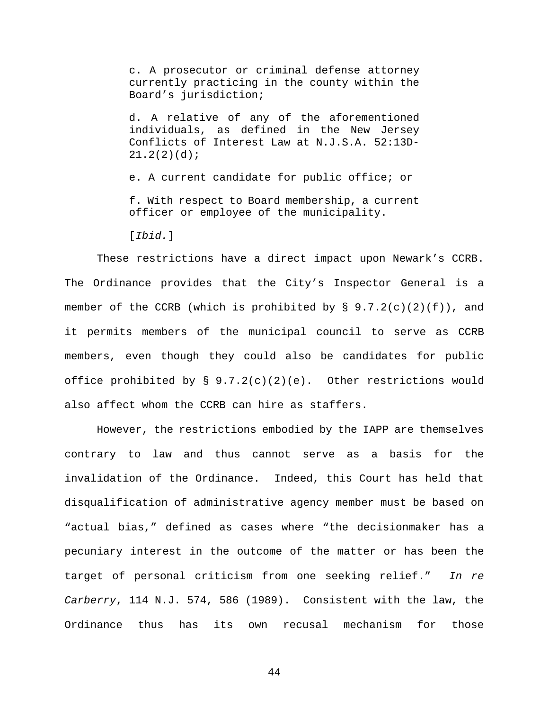c. A prosecutor or criminal defense attorney currently practicing in the county within the Board's jurisdiction;

d. A relative of any of the aforementioned individuals, as defined in the New Jersey Conflicts of Interest Law at N.J.S.A. 52:13D- $21.2(2)(d);$ 

e. A current candidate for public office; or f. With respect to Board membership, a current officer or employee of the municipality.

[*Ibid.*]

These restrictions have a direct impact upon Newark's CCRB. The Ordinance provides that the City's Inspector General is a member of the CCRB (which is prohibited by  $\S$  9.7.2(c)(2)(f)), and it permits members of the municipal council to serve as CCRB members, even though they could also be candidates for public office prohibited by  $\S$  9.7.2(c)(2)(e). Other restrictions would also affect whom the CCRB can hire as staffers.

However, the restrictions embodied by the IAPP are themselves contrary to law and thus cannot serve as a basis for the invalidation of the Ordinance. Indeed, this Court has held that disqualification of administrative agency member must be based on "actual bias," defined as cases where "the decisionmaker has a pecuniary interest in the outcome of the matter or has been the target of personal criticism from one seeking relief." *In re Carberry*, 114 N.J. 574, 586 (1989). Consistent with the law, the Ordinance thus has its own recusal mechanism for those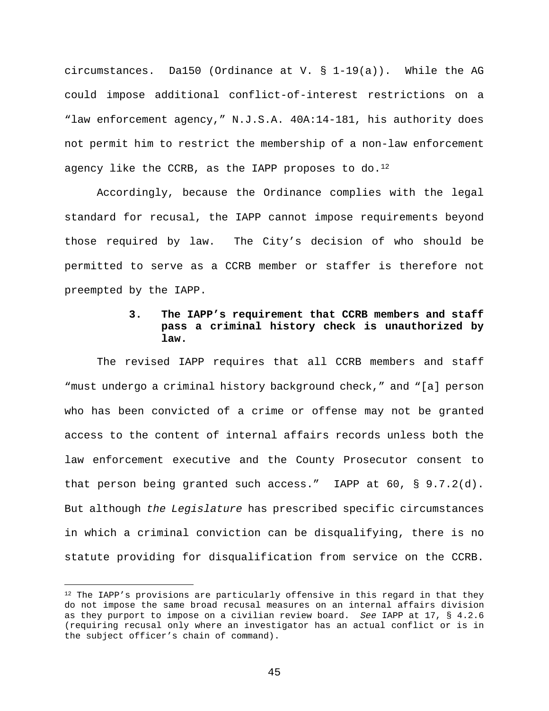circumstances. Da150 (Ordinance at V.  $\S$  1-19(a)). While the AG could impose additional conflict-of-interest restrictions on a "law enforcement agency," N.J.S.A. 40A:14-181, his authority does not permit him to restrict the membership of a non-law enforcement agency like the CCRB, as the IAPP proposes to  $do.^{12}$ 

Accordingly, because the Ordinance complies with the legal standard for recusal, the IAPP cannot impose requirements beyond those required by law. The City's decision of who should be permitted to serve as a CCRB member or staffer is therefore not preempted by the IAPP.

### **3. The IAPP's requirement that CCRB members and staff pass a criminal history check is unauthorized by law.**

The revised IAPP requires that all CCRB members and staff "must undergo a criminal history background check," and "[a] person who has been convicted of a crime or offense may not be granted access to the content of internal affairs records unless both the law enforcement executive and the County Prosecutor consent to that person being granted such access." IAPP at 60, § 9.7.2(d). But although *the Legislature* has prescribed specific circumstances in which a criminal conviction can be disqualifying, there is no statute providing for disqualification from service on the CCRB.

<sup>&</sup>lt;sup>12</sup> The IAPP's provisions are particularly offensive in this regard in that they do not impose the same broad recusal measures on an internal affairs division as they purport to impose on a civilian review board. *See* IAPP at 17, § 4.2.6 (requiring recusal only where an investigator has an actual conflict or is in the subject officer's chain of command).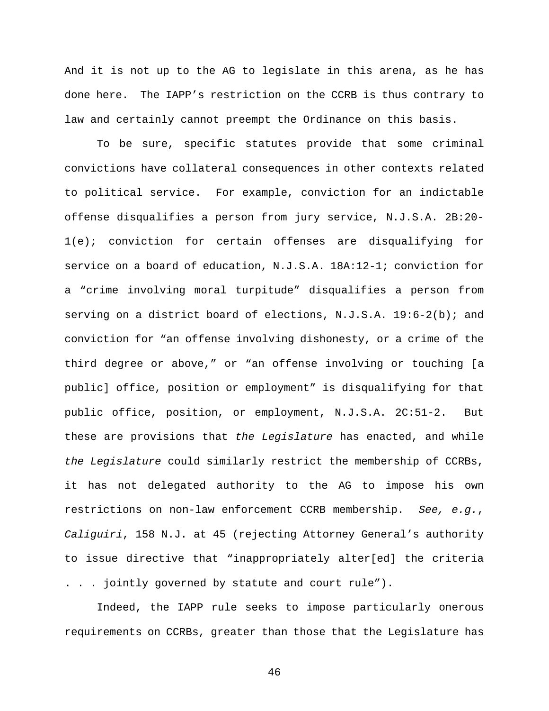And it is not up to the AG to legislate in this arena, as he has done here. The IAPP's restriction on the CCRB is thus contrary to law and certainly cannot preempt the Ordinance on this basis.

To be sure, specific statutes provide that some criminal convictions have collateral consequences in other contexts related to political service. For example, conviction for an indictable offense disqualifies a person from jury service, N.J.S.A. 2B:20- 1(e); conviction for certain offenses are disqualifying for service on a board of education, N.J.S.A. 18A:12-1; conviction for a "crime involving moral turpitude" disqualifies a person from serving on a district board of elections, N.J.S.A. 19:6-2(b); and conviction for "an offense involving dishonesty, or a crime of the third degree or above," or "an offense involving or touching [a public] office, position or employment" is disqualifying for that public office, position, or employment, N.J.S.A. 2C:51-2. But these are provisions that *the Legislature* has enacted, and while *the Legislature* could similarly restrict the membership of CCRBs, it has not delegated authority to the AG to impose his own restrictions on non-law enforcement CCRB membership. *See, e.g.*, *Caliguiri*, 158 N.J. at 45 (rejecting Attorney General's authority to issue directive that "inappropriately alter[ed] the criteria . . . jointly governed by statute and court rule").

Indeed, the IAPP rule seeks to impose particularly onerous requirements on CCRBs, greater than those that the Legislature has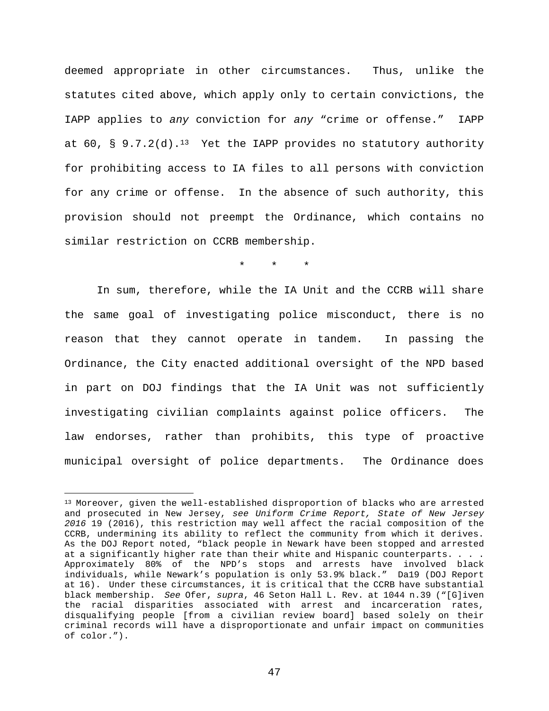deemed appropriate in other circumstances. Thus, unlike the statutes cited above, which apply only to certain convictions, the IAPP applies to *any* conviction for *any* "crime or offense." IAPP at  $60$ , § 9.7.2(d).<sup>13</sup> Yet the IAPP provides no statutory authority for prohibiting access to IA files to all persons with conviction for any crime or offense. In the absence of such authority, this provision should not preempt the Ordinance, which contains no similar restriction on CCRB membership.

 $\star$   $\star$ 

In sum, therefore, while the IA Unit and the CCRB will share the same goal of investigating police misconduct, there is no reason that they cannot operate in tandem. In passing the Ordinance, the City enacted additional oversight of the NPD based in part on DOJ findings that the IA Unit was not sufficiently investigating civilian complaints against police officers. The law endorses, rather than prohibits, this type of proactive municipal oversight of police departments. The Ordinance does

<sup>13</sup> Moreover, given the well-established disproportion of blacks who are arrested and prosecuted in New Jersey, *see Uniform Crime Report, State of New Jersey 2016* 19 (2016), this restriction may well affect the racial composition of the CCRB, undermining its ability to reflect the community from which it derives. As the DOJ Report noted, "black people in Newark have been stopped and arrested at a significantly higher rate than their white and Hispanic counterparts. . . . Approximately 80% of the NPD's stops and arrests have involved black individuals, while Newark's population is only 53.9% black." Da19 (DOJ Report at 16). Under these circumstances, it is critical that the CCRB have substantial black membership. *See* Ofer, *supra*, 46 Seton Hall L. Rev. at 1044 n.39 ("[G]iven the racial disparities associated with arrest and incarceration rates, disqualifying people [from a civilian review board] based solely on their criminal records will have a disproportionate and unfair impact on communities of color.").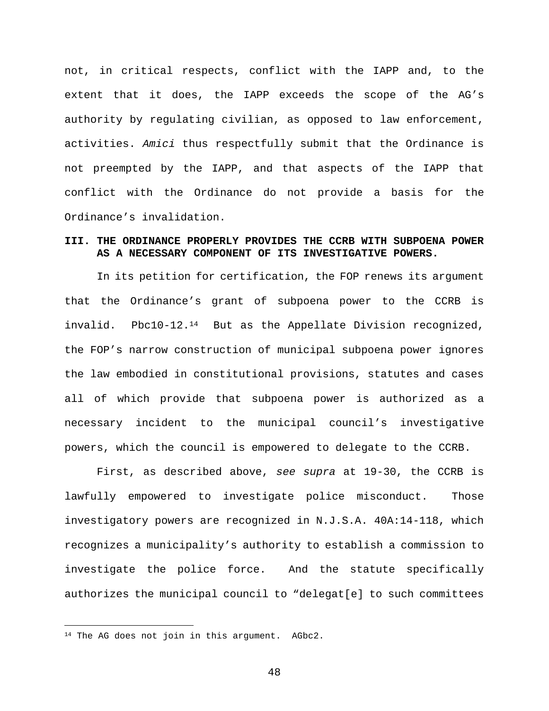not, in critical respects, conflict with the IAPP and, to the extent that it does, the IAPP exceeds the scope of the AG's authority by regulating civilian, as opposed to law enforcement, activities. *Amici* thus respectfully submit that the Ordinance is not preempted by the IAPP, and that aspects of the IAPP that conflict with the Ordinance do not provide a basis for the Ordinance's invalidation.

### **III. THE ORDINANCE PROPERLY PROVIDES THE CCRB WITH SUBPOENA POWER AS A NECESSARY COMPONENT OF ITS INVESTIGATIVE POWERS.**

In its petition for certification, the FOP renews its argument that the Ordinance's grant of subpoena power to the CCRB is invalid. Pbc10-12.<sup>14</sup> But as the Appellate Division recognized, the FOP's narrow construction of municipal subpoena power ignores the law embodied in constitutional provisions, statutes and cases all of which provide that subpoena power is authorized as a necessary incident to the municipal council's investigative powers, which the council is empowered to delegate to the CCRB.

First, as described above, *see supra* at 19-30, the CCRB is lawfully empowered to investigate police misconduct. Those investigatory powers are recognized in N.J.S.A. 40A:14-118, which recognizes a municipality's authority to establish a commission to investigate the police force. And the statute specifically authorizes the municipal council to "delegat[e] to such committees

<sup>&</sup>lt;sup>14</sup> The AG does not join in this argument. AGbc2.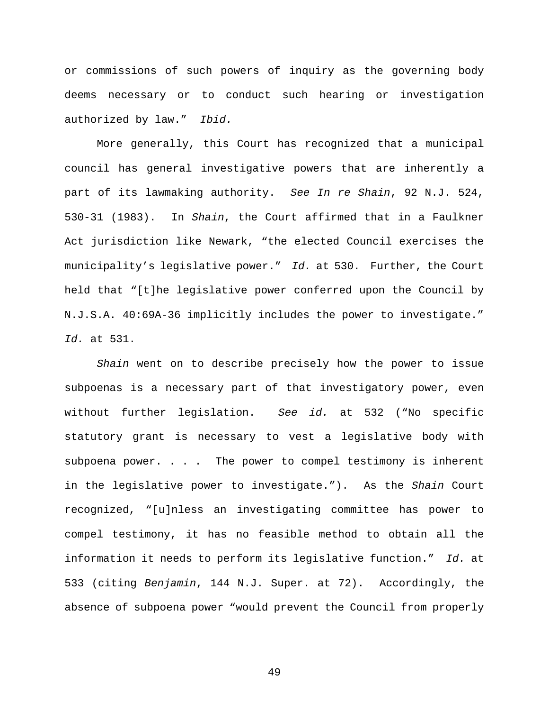or commissions of such powers of inquiry as the governing body deems necessary or to conduct such hearing or investigation authorized by law." *Ibid.*

More generally, this Court has recognized that a municipal council has general investigative powers that are inherently a part of its lawmaking authority. *See In re Shain*, 92 N.J. 524, 530-31 (1983). In *Shain*, the Court affirmed that in a Faulkner Act jurisdiction like Newark, "the elected Council exercises the municipality's legislative power." *Id.* at 530. Further, the Court held that "[t]he legislative power conferred upon the Council by N.J.S.A. 40:69A-36 implicitly includes the power to investigate." *Id.* at 531.

*Shain* went on to describe precisely how the power to issue subpoenas is a necessary part of that investigatory power, even without further legislation. *See id.* at 532 ("No specific statutory grant is necessary to vest a legislative body with subpoena power. . . . The power to compel testimony is inherent in the legislative power to investigate."). As the *Shain* Court recognized, "[u]nless an investigating committee has power to compel testimony, it has no feasible method to obtain all the information it needs to perform its legislative function." *Id.* at 533 (citing *Benjamin*, 144 N.J. Super. at 72). Accordingly, the absence of subpoena power "would prevent the Council from properly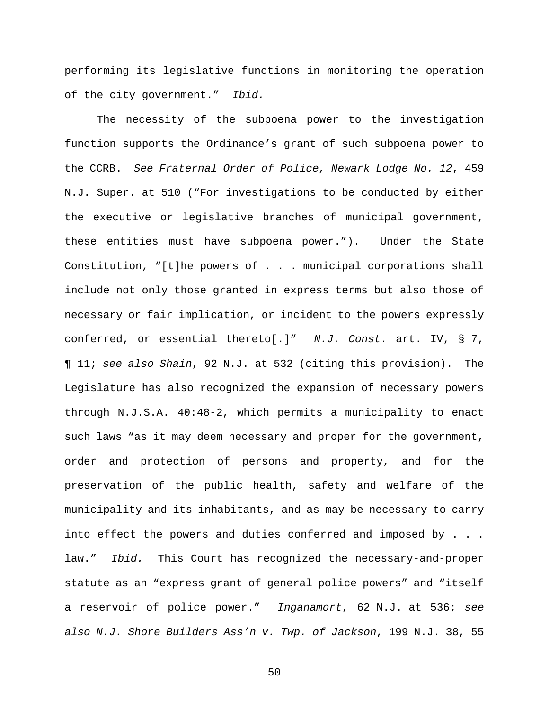performing its legislative functions in monitoring the operation of the city government." *Ibid.*

The necessity of the subpoena power to the investigation function supports the Ordinance's grant of such subpoena power to the CCRB. *See Fraternal Order of Police, Newark Lodge No. 12*, 459 N.J. Super. at 510 ("For investigations to be conducted by either the executive or legislative branches of municipal government, these entities must have subpoena power."). Under the State Constitution, "[t]he powers of . . . municipal corporations shall include not only those granted in express terms but also those of necessary or fair implication, or incident to the powers expressly conferred, or essential thereto[.]" *N.J. Const.* art. IV, § 7, ¶ 11; *see also Shain*, 92 N.J. at 532 (citing this provision). The Legislature has also recognized the expansion of necessary powers through N.J.S.A. 40:48-2, which permits a municipality to enact such laws "as it may deem necessary and proper for the government, order and protection of persons and property, and for the preservation of the public health, safety and welfare of the municipality and its inhabitants, and as may be necessary to carry into effect the powers and duties conferred and imposed by . . . law." *Ibid.* This Court has recognized the necessary-and-proper statute as an "express grant of general police powers" and "itself a reservoir of police power." *Inganamort*, 62 N.J. at 536; *see also N.J. Shore Builders Ass'n v. Twp. of Jackson*, 199 N.J. 38, 55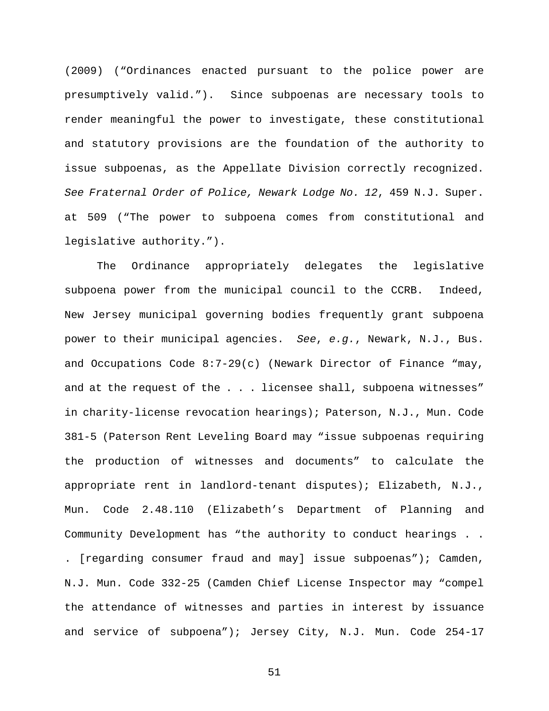(2009) ("Ordinances enacted pursuant to the police power are presumptively valid."). Since subpoenas are necessary tools to render meaningful the power to investigate, these constitutional and statutory provisions are the foundation of the authority to issue subpoenas, as the Appellate Division correctly recognized. *See Fraternal Order of Police, Newark Lodge No. 12*, 459 N.J. Super. at 509 ("The power to subpoena comes from constitutional and legislative authority.").

The Ordinance appropriately delegates the legislative subpoena power from the municipal council to the CCRB. Indeed, New Jersey municipal governing bodies frequently grant subpoena power to their municipal agencies. *See*, *e.g.*, Newark, N.J., Bus. and Occupations Code 8:7-29(c) (Newark Director of Finance "may, and at the request of the . . . licensee shall, subpoena witnesses" in charity-license revocation hearings); Paterson, N.J., Mun. Code 381-5 (Paterson Rent Leveling Board may "issue subpoenas requiring the production of witnesses and documents" to calculate the appropriate rent in landlord-tenant disputes); Elizabeth, N.J., Mun. Code 2.48.110 (Elizabeth's Department of Planning and Community Development has "the authority to conduct hearings . . . [regarding consumer fraud and may] issue subpoenas"); Camden, N.J. Mun. Code 332-25 (Camden Chief License Inspector may "compel the attendance of witnesses and parties in interest by issuance and service of subpoena"); Jersey City, N.J. Mun. Code 254-17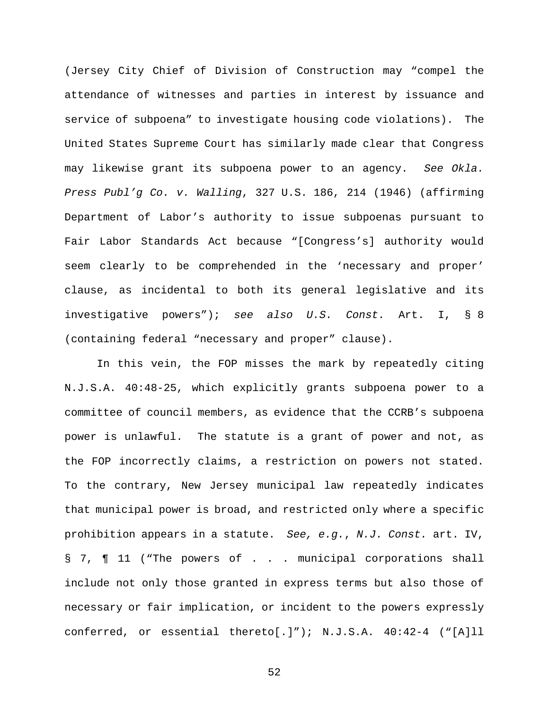(Jersey City Chief of Division of Construction may "compel the attendance of witnesses and parties in interest by issuance and service of subpoena" to investigate housing code violations). The United States Supreme Court has similarly made clear that Congress may likewise grant its subpoena power to an agency. *See Okla. Press Publ'g Co. v. Walling*, 327 U.S. 186, 214 (1946) (affirming Department of Labor's authority to issue subpoenas pursuant to Fair Labor Standards Act because "[Congress's] authority would seem clearly to be comprehended in the 'necessary and proper' clause, as incidental to both its general legislative and its investigative powers"); *see also U.S. Const.* Art. I, § 8 (containing federal "necessary and proper" clause).

In this vein, the FOP misses the mark by repeatedly citing N.J.S.A. 40:48-25, which explicitly grants subpoena power to a committee of council members, as evidence that the CCRB's subpoena power is unlawful. The statute is a grant of power and not, as the FOP incorrectly claims, a restriction on powers not stated. To the contrary, New Jersey municipal law repeatedly indicates that municipal power is broad, and restricted only where a specific prohibition appears in a statute. *See, e.g.*, *N.J. Const.* art. IV, § 7, ¶ 11 ("The powers of . . . municipal corporations shall include not only those granted in express terms but also those of necessary or fair implication, or incident to the powers expressly conferred, or essential thereto[.]"); N.J.S.A. 40:42-4 ("[A]ll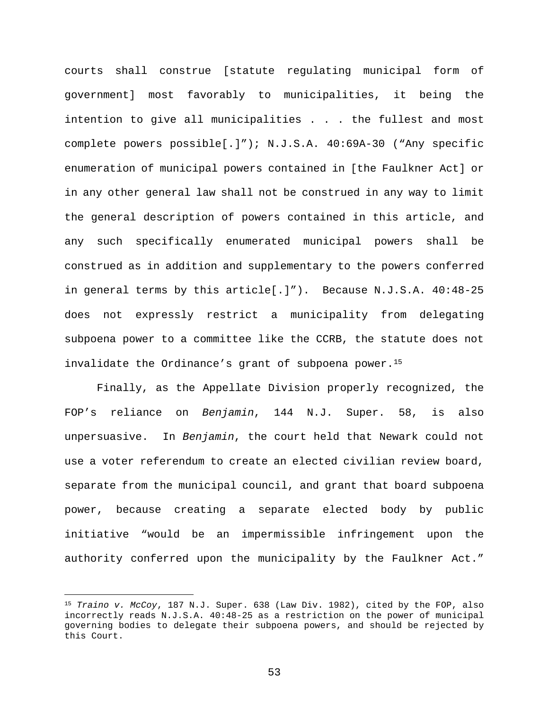courts shall construe [statute regulating municipal form of government] most favorably to municipalities, it being the intention to give all municipalities . . . the fullest and most complete powers possible[.]"); N.J.S.A. 40:69A-30 ("Any specific enumeration of municipal powers contained in [the Faulkner Act] or in any other general law shall not be construed in any way to limit the general description of powers contained in this article, and any such specifically enumerated municipal powers shall be construed as in addition and supplementary to the powers conferred in general terms by this article[.]"). Because N.J.S.A. 40:48-25 does not expressly restrict a municipality from delegating subpoena power to a committee like the CCRB, the statute does not invalidate the Ordinance's grant of subpoena power.<sup>15</sup>

Finally, as the Appellate Division properly recognized, the FOP's reliance on *Benjamin*, 144 N.J. Super. 58, is also unpersuasive. In *Benjamin*, the court held that Newark could not use a voter referendum to create an elected civilian review board, separate from the municipal council, and grant that board subpoena power, because creating a separate elected body by public initiative "would be an impermissible infringement upon the authority conferred upon the municipality by the Faulkner Act."

<sup>15</sup> *Traino v. McCoy*, 187 N.J. Super. 638 (Law Div. 1982), cited by the FOP, also incorrectly reads N.J.S.A. 40:48-25 as a restriction on the power of municipal governing bodies to delegate their subpoena powers, and should be rejected by this Court.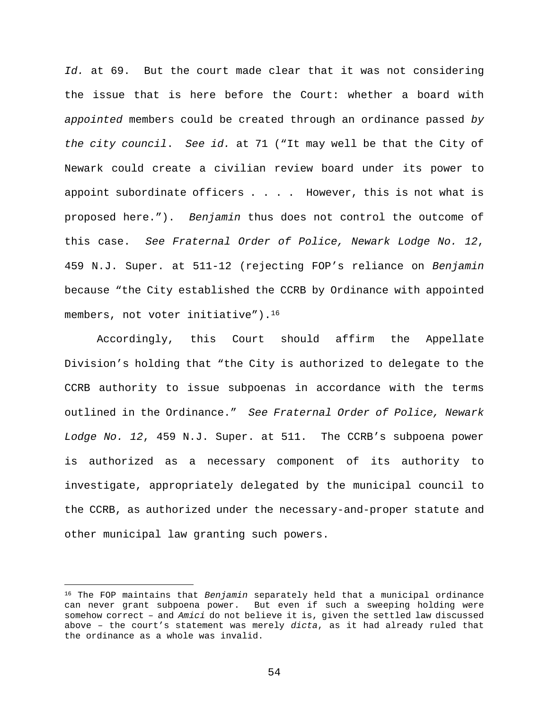*Id.* at 69. But the court made clear that it was not considering the issue that is here before the Court: whether a board with *appointed* members could be created through an ordinance passed *by the city council*. *See id.* at 71 ("It may well be that the City of Newark could create a civilian review board under its power to appoint subordinate officers  $\ldots$  . However, this is not what is proposed here."). *Benjamin* thus does not control the outcome of this case. *See Fraternal Order of Police, Newark Lodge No. 12*, 459 N.J. Super. at 511-12 (rejecting FOP's reliance on *Benjamin* because "the City established the CCRB by Ordinance with appointed members, not voter initiative").<sup>16</sup>

Accordingly, this Court should affirm the Appellate Division's holding that "the City is authorized to delegate to the CCRB authority to issue subpoenas in accordance with the terms outlined in the Ordinance." *See Fraternal Order of Police, Newark Lodge No. 12*, 459 N.J. Super. at 511. The CCRB's subpoena power is authorized as a necessary component of its authority to investigate, appropriately delegated by the municipal council to the CCRB, as authorized under the necessary-and-proper statute and other municipal law granting such powers.

<sup>16</sup> The FOP maintains that *Benjamin* separately held that a municipal ordinance can never grant subpoena power. But even if such a sweeping holding were somehow correct – and *Amici* do not believe it is, given the settled law discussed above – the court's statement was merely *dicta*, as it had already ruled that the ordinance as a whole was invalid.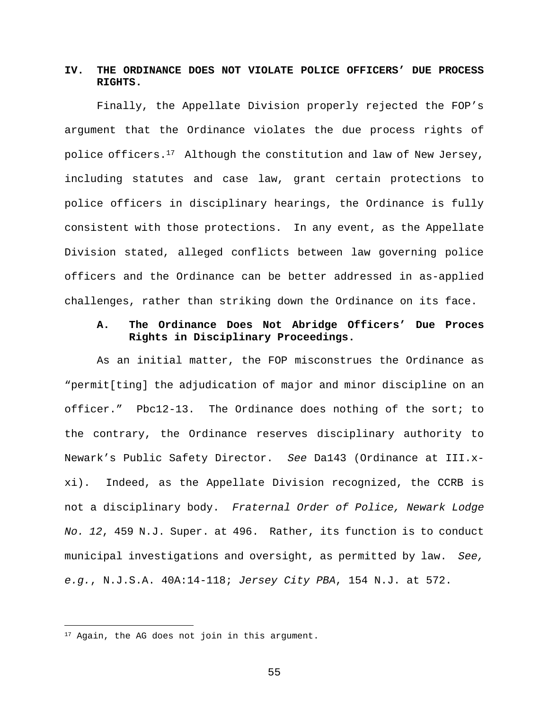# **IV. THE ORDINANCE DOES NOT VIOLATE POLICE OFFICERS' DUE PROCESS RIGHTS.**

Finally, the Appellate Division properly rejected the FOP's argument that the Ordinance violates the due process rights of police officers.<sup>17</sup> Although the constitution and law of New Jersey, including statutes and case law, grant certain protections to police officers in disciplinary hearings, the Ordinance is fully consistent with those protections. In any event, as the Appellate Division stated, alleged conflicts between law governing police officers and the Ordinance can be better addressed in as-applied challenges, rather than striking down the Ordinance on its face.

# **A. The Ordinance Does Not Abridge Officers' Due Proces Rights in Disciplinary Proceedings.**

As an initial matter, the FOP misconstrues the Ordinance as "permit[ting] the adjudication of major and minor discipline on an officer." Pbc12-13. The Ordinance does nothing of the sort; to the contrary, the Ordinance reserves disciplinary authority to Newark's Public Safety Director. *See* Da143 (Ordinance at III.xxi). Indeed, as the Appellate Division recognized, the CCRB is not a disciplinary body. *Fraternal Order of Police, Newark Lodge No. 12*, 459 N.J. Super. at 496. Rather, its function is to conduct municipal investigations and oversight, as permitted by law. *See, e.g.*, N.J.S.A. 40A:14-118; *Jersey City PBA*, 154 N.J. at 572.

<sup>&</sup>lt;sup>17</sup> Again, the AG does not join in this argument.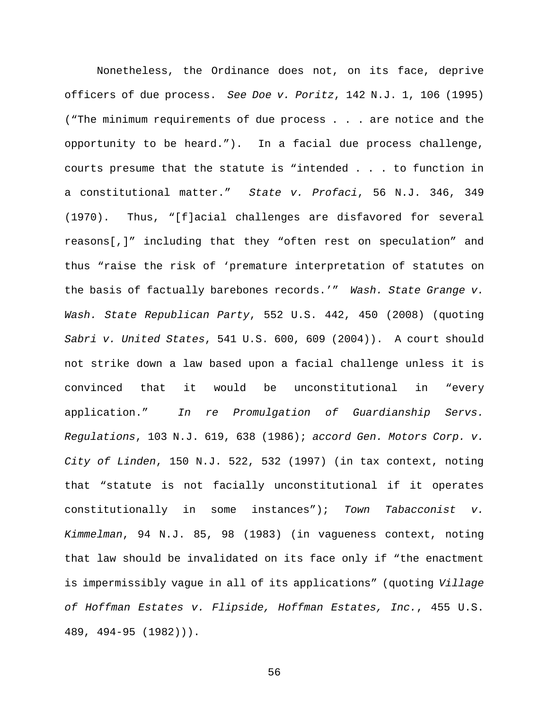Nonetheless, the Ordinance does not, on its face, deprive officers of due process. *See Doe v. Poritz*, 142 N.J. 1, 106 (1995) ("The minimum requirements of due process . . . are notice and the opportunity to be heard."). In a facial due process challenge, courts presume that the statute is "intended . . . to function in a constitutional matter." *State v. Profaci*, 56 N.J. 346, 349 (1970). Thus, "[f]acial challenges are disfavored for several reasons[,]" including that they "often rest on speculation" and thus "raise the risk of 'premature interpretation of statutes on the basis of factually barebones records.'" *Wash. State Grange v. Wash. State Republican Party*, 552 U.S. 442, 450 (2008) (quoting *Sabri v. United States*, 541 U.S. 600, 609 (2004)). A court should not strike down a law based upon a facial challenge unless it is convinced that it would be unconstitutional in "every application." *In re Promulgation of Guardianship Servs. Regulations*, 103 N.J. 619, 638 (1986); *accord Gen. Motors Corp. v. City of Linden*, 150 N.J. 522, 532 (1997) (in tax context, noting that "statute is not facially unconstitutional if it operates constitutionally in some instances"); *Town Tabacconist v. Kimmelman*, 94 N.J. 85, 98 (1983) (in vagueness context, noting that law should be invalidated on its face only if "the enactment is impermissibly vague in all of its applications" (quoting *Village of Hoffman Estates v. Flipside, Hoffman Estates, Inc.*, 455 U.S. 489, 494-95 (1982))).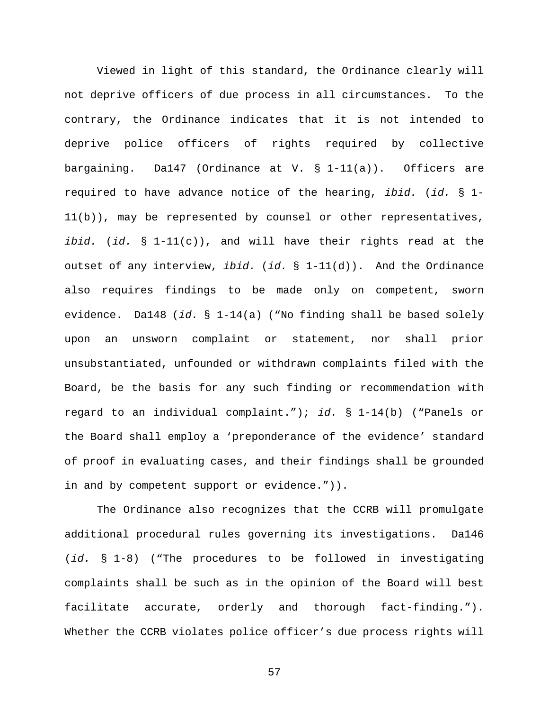Viewed in light of this standard, the Ordinance clearly will not deprive officers of due process in all circumstances. To the contrary, the Ordinance indicates that it is not intended to deprive police officers of rights required by collective bargaining. Da147 (Ordinance at V.  $\S$  1-11(a)). Officers are required to have advance notice of the hearing, *ibid.* (*id.* § 1-  $11(b)$ ), may be represented by counsel or other representatives, *ibid.* (*id.* § 1-11(c)), and will have their rights read at the outset of any interview, *ibid.* (*id.* § 1-11(d)). And the Ordinance also requires findings to be made only on competent, sworn evidence. Da148 (*id.* § 1-14(a) ("No finding shall be based solely upon an unsworn complaint or statement, nor shall prior unsubstantiated, unfounded or withdrawn complaints filed with the Board, be the basis for any such finding or recommendation with regard to an individual complaint."); *id.* § 1-14(b) ("Panels or the Board shall employ a 'preponderance of the evidence' standard of proof in evaluating cases, and their findings shall be grounded in and by competent support or evidence.")).

The Ordinance also recognizes that the CCRB will promulgate additional procedural rules governing its investigations. Da146 (*id.* § 1-8) ("The procedures to be followed in investigating complaints shall be such as in the opinion of the Board will best facilitate accurate, orderly and thorough fact-finding."). Whether the CCRB violates police officer's due process rights will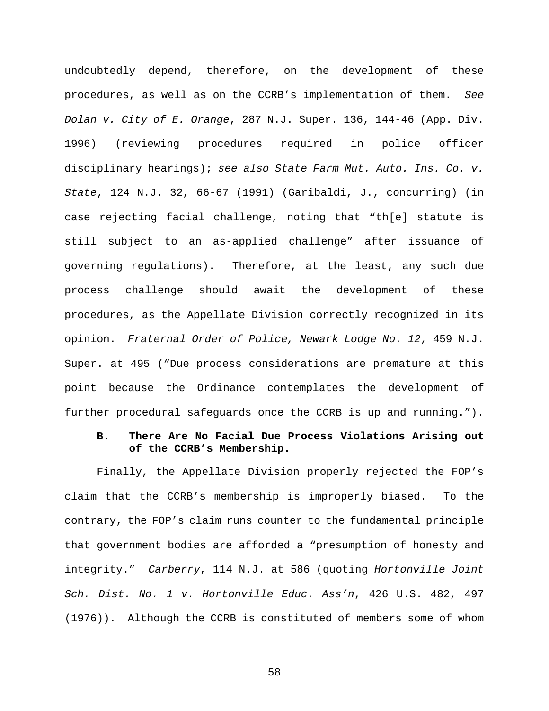undoubtedly depend, therefore, on the development of these procedures, as well as on the CCRB's implementation of them. *See Dolan v. City of E. Orange*, 287 N.J. Super. 136, 144-46 (App. Div. 1996) (reviewing procedures required in police officer disciplinary hearings); *see also State Farm Mut. Auto. Ins. Co. v. State*, 124 N.J. 32, 66-67 (1991) (Garibaldi, J., concurring) (in case rejecting facial challenge, noting that "th[e] statute is still subject to an as-applied challenge" after issuance of governing regulations). Therefore, at the least, any such due process challenge should await the development of these procedures, as the Appellate Division correctly recognized in its opinion. *Fraternal Order of Police, Newark Lodge No. 12*, 459 N.J. Super. at 495 ("Due process considerations are premature at this point because the Ordinance contemplates the development of further procedural safeguards once the CCRB is up and running.").

### **B. There Are No Facial Due Process Violations Arising out of the CCRB's Membership.**

Finally, the Appellate Division properly rejected the FOP's claim that the CCRB's membership is improperly biased. To the contrary, the FOP's claim runs counter to the fundamental principle that government bodies are afforded a "presumption of honesty and integrity." *Carberry*, 114 N.J. at 586 (quoting *Hortonville Joint Sch. Dist. No. 1 v. Hortonville Educ. Ass'n*, 426 U.S. 482, 497 (1976)). Although the CCRB is constituted of members some of whom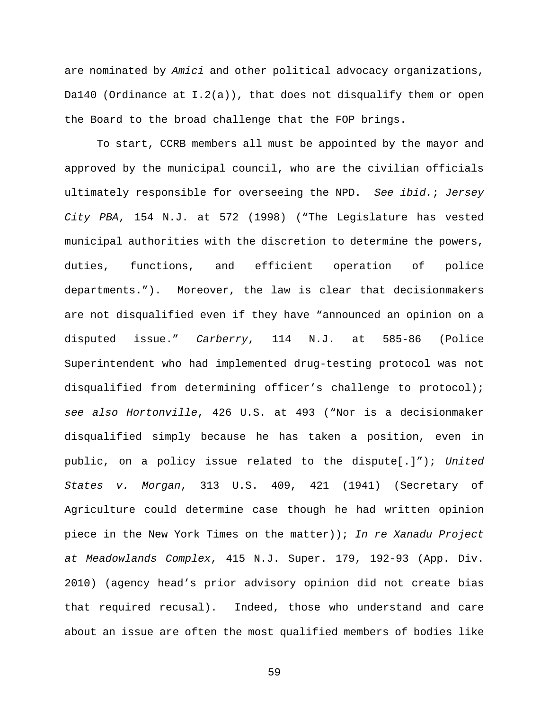are nominated by *Amici* and other political advocacy organizations, Da140 (Ordinance at  $I.2(a)$ ), that does not disqualify them or open the Board to the broad challenge that the FOP brings.

To start, CCRB members all must be appointed by the mayor and approved by the municipal council, who are the civilian officials ultimately responsible for overseeing the NPD. *See ibid.*; *Jersey City PBA*, 154 N.J. at 572 (1998) ("The Legislature has vested municipal authorities with the discretion to determine the powers, duties, functions, and efficient operation of police departments."). Moreover, the law is clear that decisionmakers are not disqualified even if they have "announced an opinion on a disputed issue." *Carberry*, 114 N.J. at 585-86 (Police Superintendent who had implemented drug-testing protocol was not disqualified from determining officer's challenge to protocol); *see also Hortonville*, 426 U.S. at 493 ("Nor is a decisionmaker disqualified simply because he has taken a position, even in public, on a policy issue related to the dispute[.]"); *United States v. Morgan*, 313 U.S. 409, 421 (1941) (Secretary of Agriculture could determine case though he had written opinion piece in the New York Times on the matter)); *In re Xanadu Project at Meadowlands Complex*, 415 N.J. Super. 179, 192-93 (App. Div. 2010) (agency head's prior advisory opinion did not create bias that required recusal). Indeed, those who understand and care about an issue are often the most qualified members of bodies like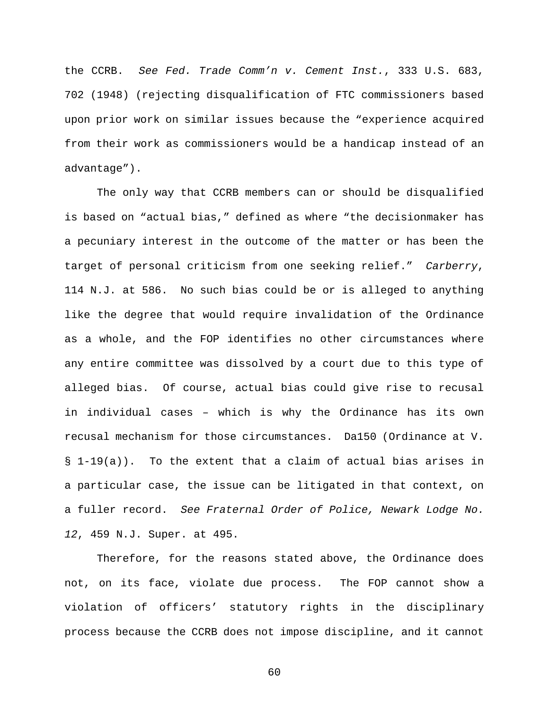the CCRB. *See Fed. Trade Comm'n v. Cement Inst.*, 333 U.S. 683, 702 (1948) (rejecting disqualification of FTC commissioners based upon prior work on similar issues because the "experience acquired from their work as commissioners would be a handicap instead of an advantage").

The only way that CCRB members can or should be disqualified is based on "actual bias," defined as where "the decisionmaker has a pecuniary interest in the outcome of the matter or has been the target of personal criticism from one seeking relief." *Carberry*, 114 N.J. at 586. No such bias could be or is alleged to anything like the degree that would require invalidation of the Ordinance as a whole, and the FOP identifies no other circumstances where any entire committee was dissolved by a court due to this type of alleged bias. Of course, actual bias could give rise to recusal in individual cases – which is why the Ordinance has its own recusal mechanism for those circumstances. Da150 (Ordinance at V. § 1-19(a)). To the extent that a claim of actual bias arises in a particular case, the issue can be litigated in that context, on a fuller record. *See Fraternal Order of Police, Newark Lodge No. 12*, 459 N.J. Super. at 495.

Therefore, for the reasons stated above, the Ordinance does not, on its face, violate due process. The FOP cannot show a violation of officers' statutory rights in the disciplinary process because the CCRB does not impose discipline, and it cannot